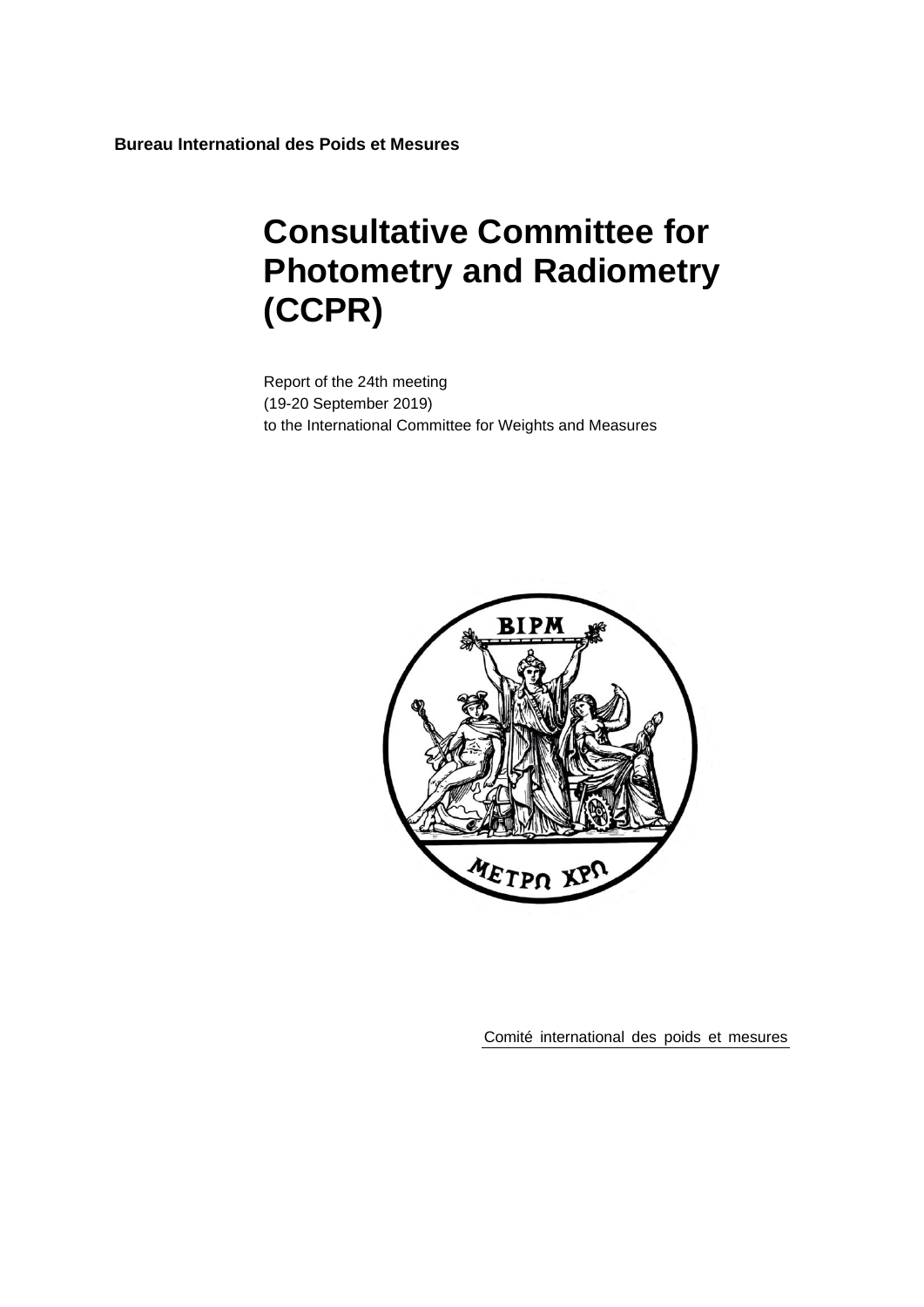**Bureau International des Poids et Mesures**

# **Consultative Committee for Photometry and Radiometry (CCPR)**

Report of the 24th meeting (19-20 September 2019) to the International Committee for Weights and Measures



Comité international des poids et mesures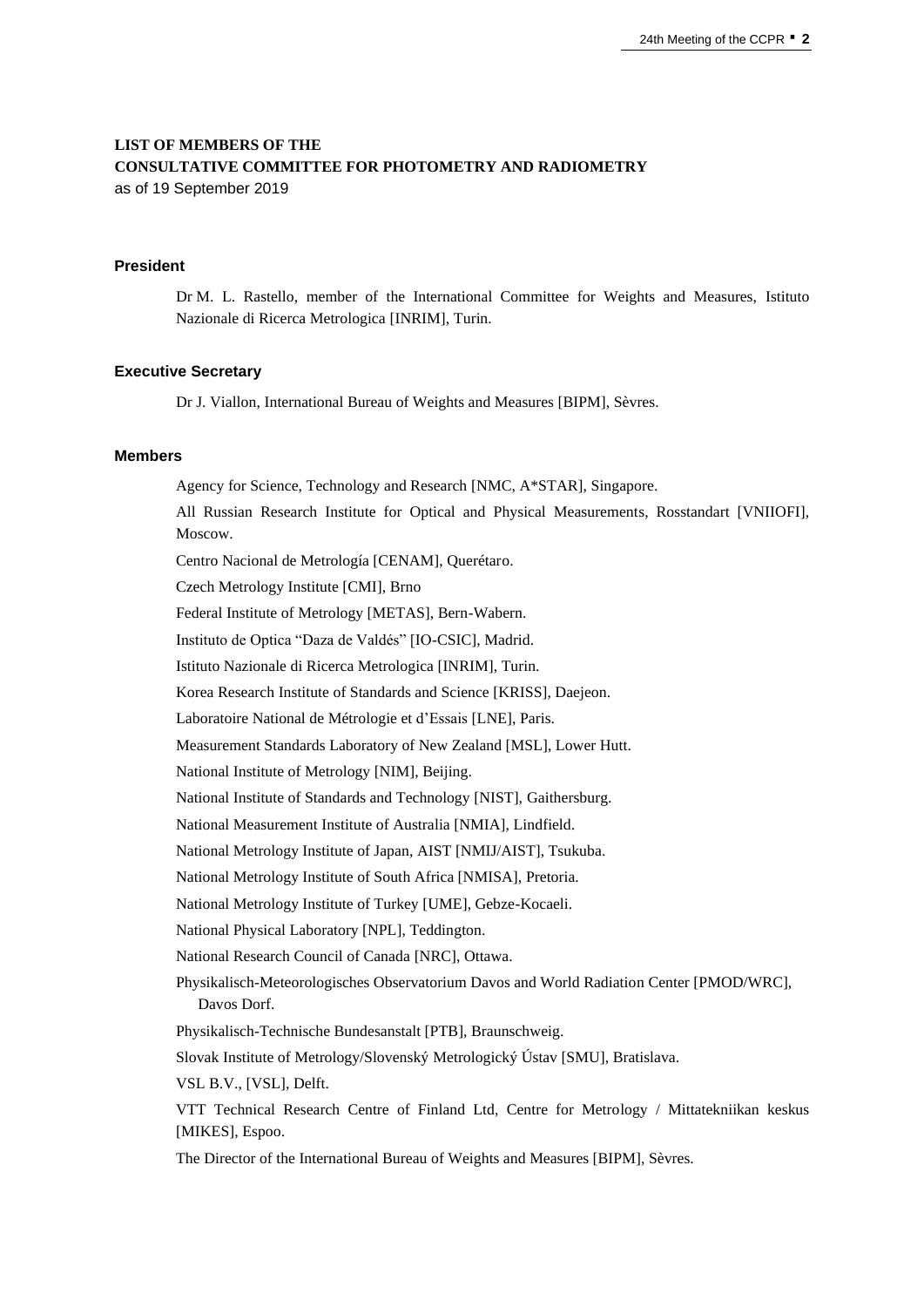# **LIST OF MEMBERS OF THE CONSULTATIVE COMMITTEE FOR PHOTOMETRY AND RADIOMETRY** as of 19 September 2019

#### **President**

Dr M. L. Rastello, member of the International Committee for Weights and Measures, Istituto Nazionale di Ricerca Metrologica [INRIM], Turin.

#### **Executive Secretary**

Dr J. Viallon, International Bureau of Weights and Measures [BIPM], Sèvres.

#### **Members**

Agency for Science, Technology and Research [NMC, A\*STAR], Singapore. All Russian Research Institute for Optical and Physical Measurements, Rosstandart [VNIIOFI], Moscow. Centro Nacional de Metrología [CENAM], Querétaro. Czech Metrology Institute [CMI], Brno Federal Institute of Metrology [METAS], Bern-Wabern. Instituto de Optica "Daza de Valdés" [IO-CSIC], Madrid. Istituto Nazionale di Ricerca Metrologica [INRIM], Turin. Korea Research Institute of Standards and Science [KRISS], Daejeon. Laboratoire National de Métrologie et d'Essais [LNE], Paris. Measurement Standards Laboratory of New Zealand [MSL], Lower Hutt. National Institute of Metrology [NIM], Beijing. National Institute of Standards and Technology [NIST], Gaithersburg. National Measurement Institute of Australia [NMIA], Lindfield. National Metrology Institute of Japan, AIST [NMIJ/AIST], Tsukuba. National Metrology Institute of South Africa [NMISA], Pretoria. National Metrology Institute of Turkey [UME], Gebze-Kocaeli. National Physical Laboratory [NPL], Teddington. National Research Council of Canada [NRC], Ottawa. Physikalisch-Meteorologisches Observatorium Davos and World Radiation Center [PMOD/WRC], Davos Dorf. Physikalisch-Technische Bundesanstalt [PTB], Braunschweig. Slovak Institute of Metrology/Slovenský Metrologický Ústav [SMU], Bratislava. VSL B.V., [VSL], Delft. VTT Technical Research Centre of Finland Ltd, Centre for Metrology / Mittatekniikan keskus [MIKES], Espoo.

The Director of the International Bureau of Weights and Measures [BIPM], Sèvres.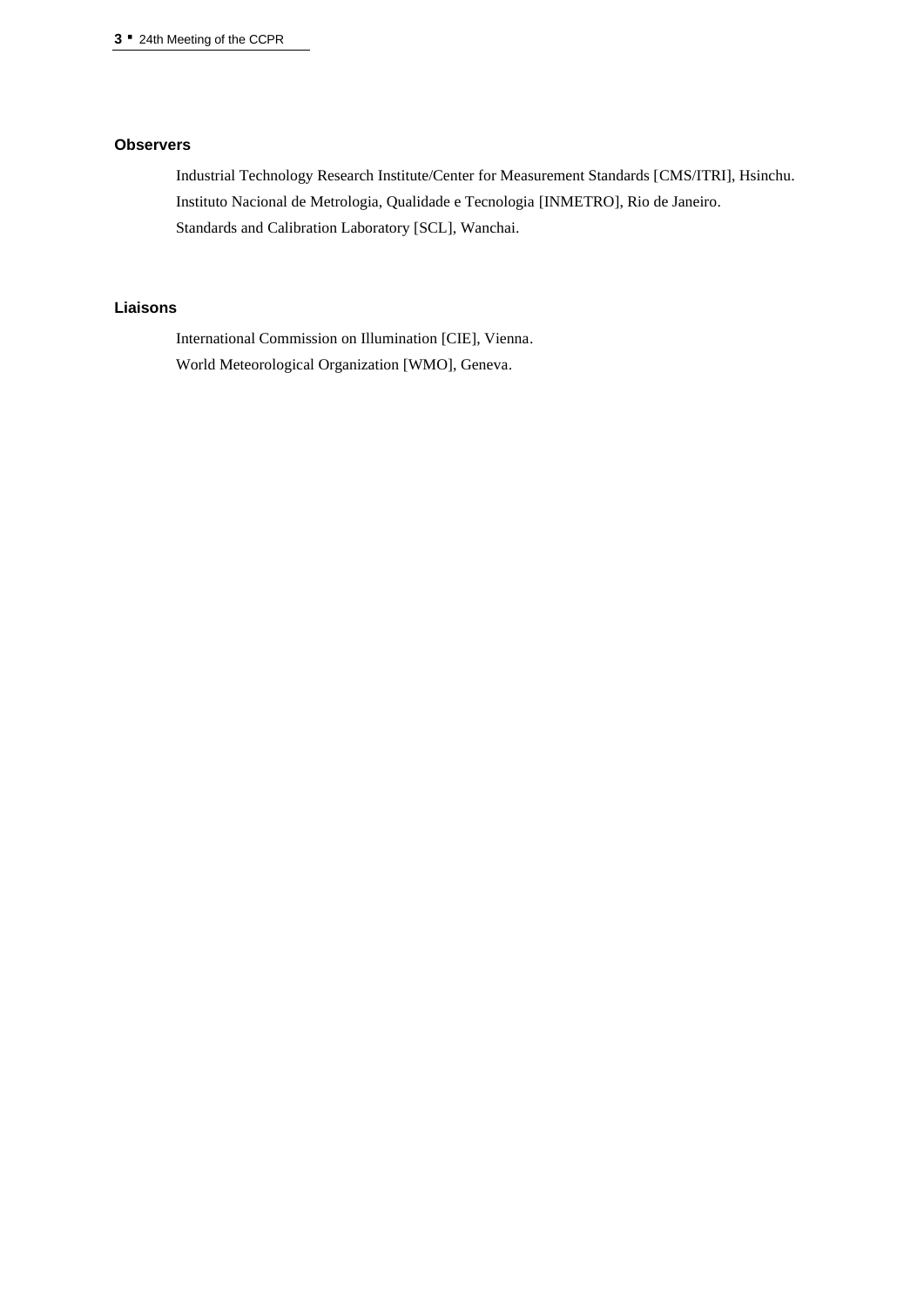# **Observers**

Industrial Technology Research Institute/Center for Measurement Standards [\[CMS/ITRI\]](http://www.itri.org.tw/eng/CMS/), Hsinchu. Instituto Nacional de Metrologia, Qualidade e Tecnologia [INMETRO], Rio de Janeiro. Standards and Calibration Laboratory [SCL], Wanchai.

# **Liaisons**

International Commission on Illumination [CIE], Vienna. World Meteorological Organization [WMO], Geneva.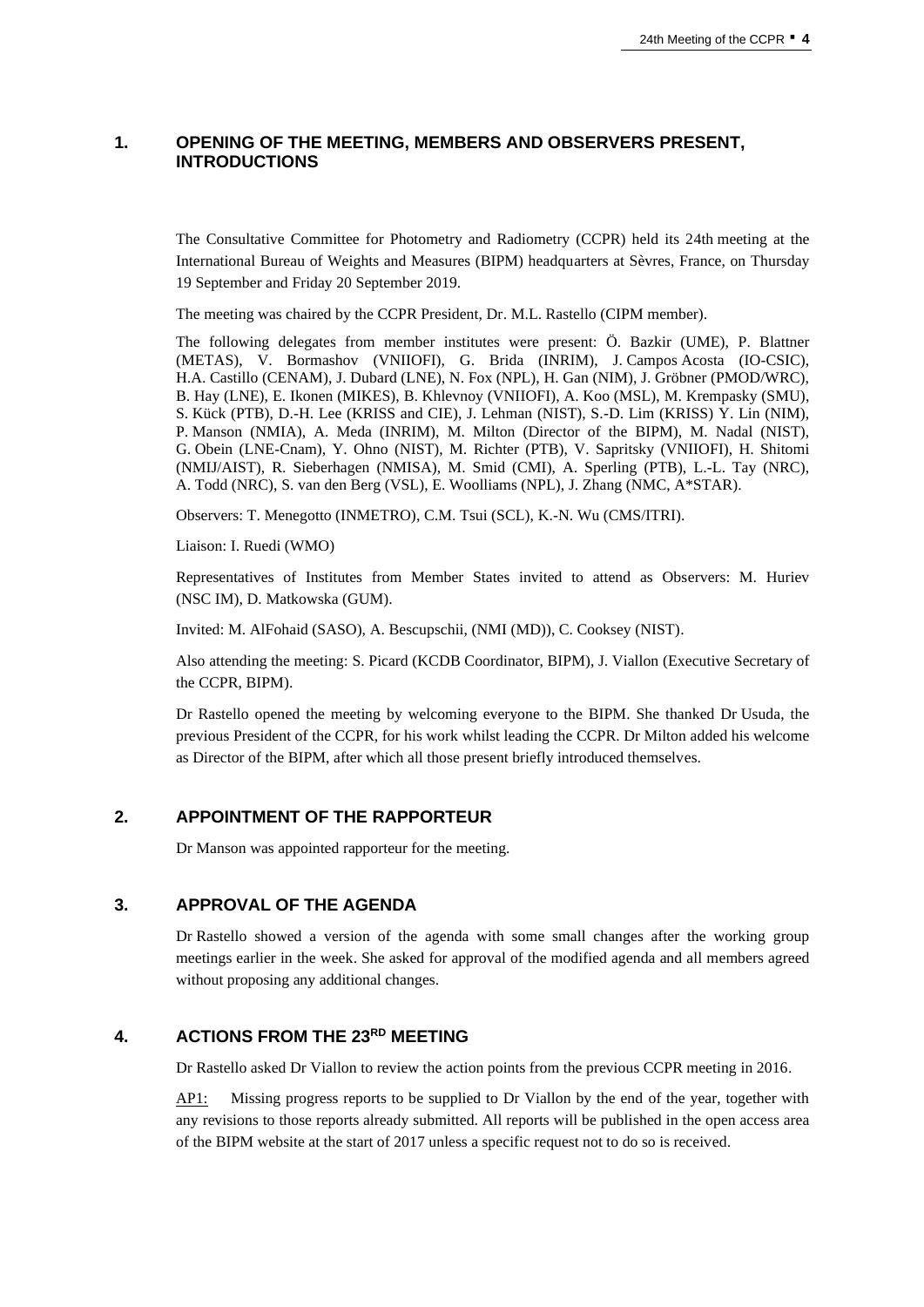# **1. OPENING OF THE MEETING, MEMBERS AND OBSERVERS PRESENT, INTRODUCTIONS**

The Consultative Committee for Photometry and Radiometry (CCPR) held its 24th meeting at the International Bureau of Weights and Measures (BIPM) headquarters at Sèvres, France, on Thursday 19 September and Friday 20 September 2019.

The meeting was chaired by the CCPR President, Dr. M.L. Rastello (CIPM member).

The following delegates from member institutes were present: Ö. Bazkir (UME), P. Blattner (METAS), V. Bormashov (VNIIOFI), G. Brida (INRIM), J. Campos Acosta (IO-CSIC), H.A. Castillo (CENAM), J. Dubard (LNE), N. Fox (NPL), H. Gan (NIM), J. Gröbner (PMOD/WRC), B. Hay (LNE), E. Ikonen (MIKES), B. Khlevnoy (VNIIOFI), A. Koo (MSL), M. Krempasky (SMU), S. Kück (PTB), D.-H. Lee (KRISS and CIE), J. Lehman (NIST), S.-D. Lim (KRISS) Y. Lin (NIM), P. Manson (NMIA), A. Meda (INRIM), M. Milton (Director of the BIPM), M. Nadal (NIST), G. Obein (LNE-Cnam), Y. Ohno (NIST), M. Richter (PTB), V. Sapritsky (VNIIOFI), H. Shitomi (NMIJ/AIST), R. Sieberhagen (NMISA), M. Smid (CMI), A. Sperling (PTB), L.-L. Tay (NRC), A. Todd (NRC), S. van den Berg (VSL), E. Woolliams (NPL), J. Zhang (NMC, A\*STAR).

Observers: T. Menegotto (INMETRO), C.M. Tsui (SCL), K.-N. Wu (CMS/ITRI).

Liaison: I. Ruedi (WMO)

Representatives of Institutes from Member States invited to attend as Observers: M. Huriev (NSC IM), D. Matkowska (GUM).

Invited: M. AlFohaid (SASO), A. Bescupschii, (NMI (MD)), C. Cooksey (NIST).

Also attending the meeting: S. Picard (KCDB Coordinator, BIPM), J. Viallon (Executive Secretary of the CCPR, BIPM).

Dr Rastello opened the meeting by welcoming everyone to the BIPM. She thanked Dr Usuda, the previous President of the CCPR, for his work whilst leading the CCPR. Dr Milton added his welcome as Director of the BIPM, after which all those present briefly introduced themselves.

# **2. APPOINTMENT OF THE RAPPORTEUR**

Dr Manson was appointed rapporteur for the meeting.

# **3. APPROVAL OF THE AGENDA**

Dr Rastello showed a version of the agenda with some small changes after the working group meetings earlier in the week. She asked for approval of the modified agenda and all members agreed without proposing any additional changes.

# **4. ACTIONS FROM THE 23RD MEETING**

Dr Rastello asked Dr Viallon to review the action points from the previous CCPR meeting in 2016.

AP1: Missing progress reports to be supplied to Dr Viallon by the end of the year, together with any revisions to those reports already submitted. All reports will be published in the open access area of the BIPM website at the start of 2017 unless a specific request not to do so is received.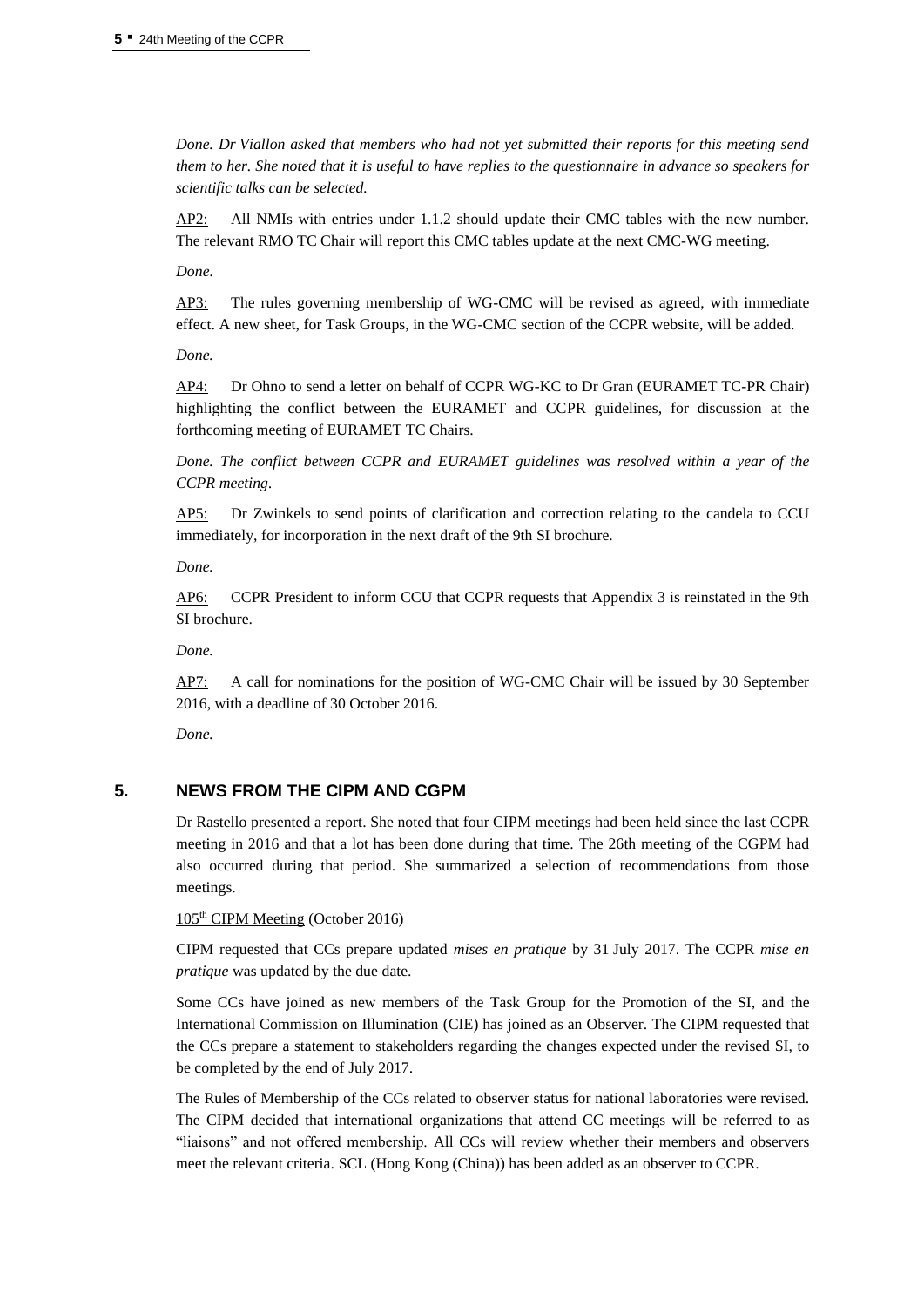*Done. Dr Viallon asked that members who had not yet submitted their reports for this meeting send them to her. She noted that it is useful to have replies to the questionnaire in advance so speakers for scientific talks can be selected.*

AP2: All NMIs with entries under 1.1.2 should update their CMC tables with the new number. The relevant RMO TC Chair will report this CMC tables update at the next CMC-WG meeting.

*Done.*

AP3: The rules governing membership of WG-CMC will be revised as agreed, with immediate effect. A new sheet, for Task Groups, in the WG-CMC section of the CCPR website, will be added.

*Done.*

AP4: Dr Ohno to send a letter on behalf of CCPR WG-KC to Dr Gran (EURAMET TC-PR Chair) highlighting the conflict between the EURAMET and CCPR guidelines, for discussion at the forthcoming meeting of EURAMET TC Chairs.

*Done. The conflict between CCPR and EURAMET guidelines was resolved within a year of the CCPR meeting.*

AP5: Dr Zwinkels to send points of clarification and correction relating to the candela to CCU immediately, for incorporation in the next draft of the 9th SI brochure.

*Done.*

AP6: CCPR President to inform CCU that CCPR requests that Appendix 3 is reinstated in the 9th SI brochure.

*Done.*

AP7: A call for nominations for the position of WG-CMC Chair will be issued by 30 September 2016, with a deadline of 30 October 2016.

*Done.*

# **5. NEWS FROM THE CIPM AND CGPM**

Dr Rastello presented a report. She noted that four CIPM meetings had been held since the last CCPR meeting in 2016 and that a lot has been done during that time. The 26th meeting of the CGPM had also occurred during that period. She summarized a selection of recommendations from those meetings.

105th CIPM Meeting (October 2016)

CIPM requested that CCs prepare updated *mises en pratique* by 31 July 2017. The CCPR *mise en pratique* was updated by the due date.

Some CCs have joined as new members of the Task Group for the Promotion of the SI, and the International Commission on Illumination (CIE) has joined as an Observer. The CIPM requested that the CCs prepare a statement to stakeholders regarding the changes expected under the revised SI, to be completed by the end of July 2017.

The Rules of Membership of the CCs related to observer status for national laboratories were revised. The CIPM decided that international organizations that attend CC meetings will be referred to as "liaisons" and not offered membership. All CCs will review whether their members and observers meet the relevant criteria. SCL (Hong Kong (China)) has been added as an observer to CCPR.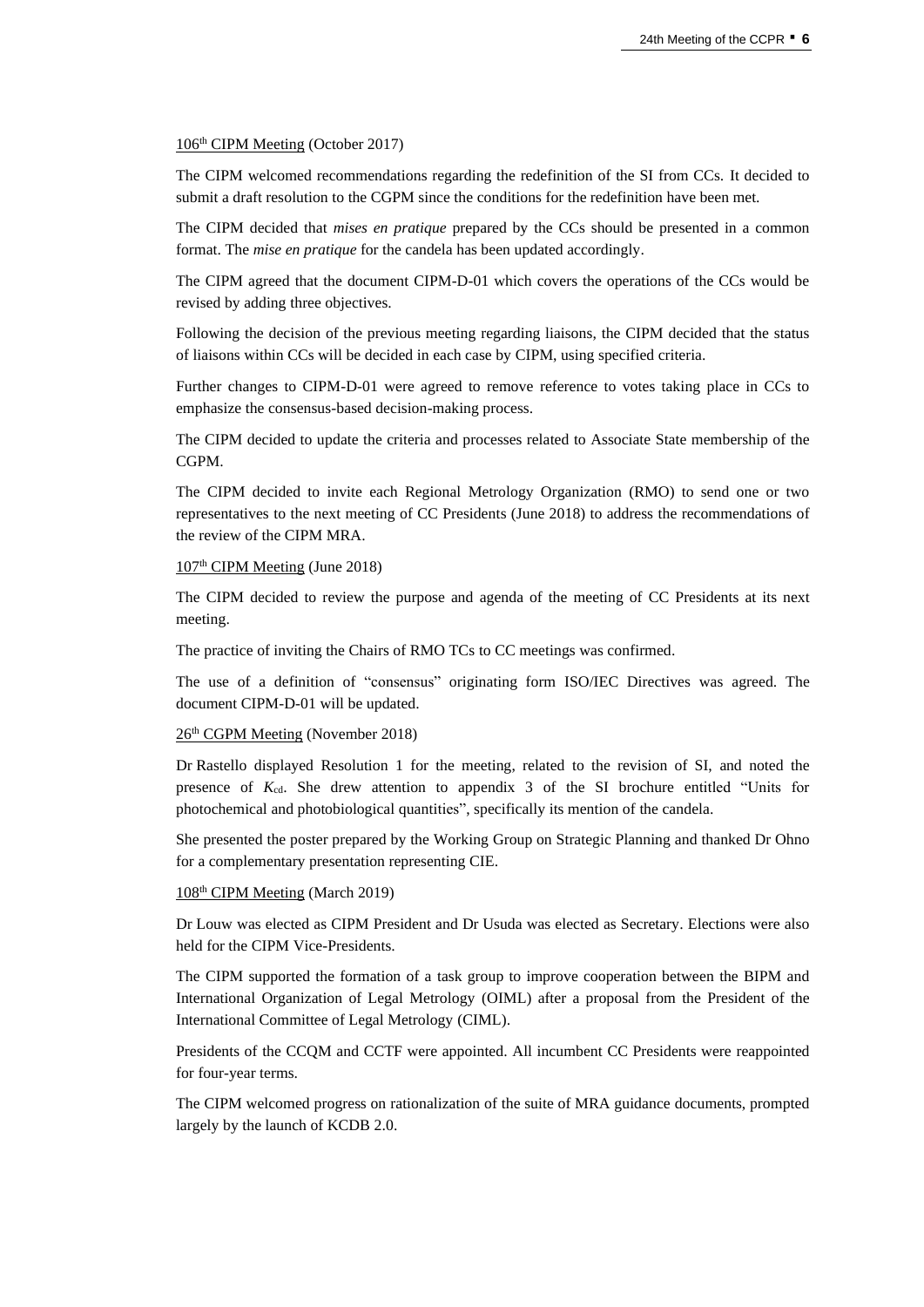#### 106 th CIPM Meeting (October 2017)

The CIPM welcomed recommendations regarding the redefinition of the SI from CCs. It decided to submit a draft resolution to the CGPM since the conditions for the redefinition have been met.

The CIPM decided that *mises en pratique* prepared by the CCs should be presented in a common format. The *mise en pratique* for the candela has been updated accordingly.

The CIPM agreed that the document CIPM-D-01 which covers the operations of the CCs would be revised by adding three objectives.

Following the decision of the previous meeting regarding liaisons, the CIPM decided that the status of liaisons within CCs will be decided in each case by CIPM, using specified criteria.

Further changes to CIPM-D-01 were agreed to remove reference to votes taking place in CCs to emphasize the consensus-based decision-making process.

The CIPM decided to update the criteria and processes related to Associate State membership of the CGPM.

The CIPM decided to invite each Regional Metrology Organization (RMO) to send one or two representatives to the next meeting of CC Presidents (June 2018) to address the recommendations of the review of the CIPM MRA.

#### 107<sup>th</sup> CIPM Meeting (June 2018)

The CIPM decided to review the purpose and agenda of the meeting of CC Presidents at its next meeting.

The practice of inviting the Chairs of RMO TCs to CC meetings was confirmed.

The use of a definition of "consensus" originating form ISO/IEC Directives was agreed. The document CIPM-D-01 will be updated.

#### 26th CGPM Meeting (November 2018)

Dr Rastello displayed Resolution 1 for the meeting, related to the revision of SI, and noted the presence of *K*cd. She drew attention to appendix 3 of the SI brochure entitled "Units for photochemical and photobiological quantities", specifically its mention of the candela.

She presented the poster prepared by the Working Group on Strategic Planning and thanked Dr Ohno for a complementary presentation representing CIE.

#### 108<sup>th</sup> CIPM Meeting (March 2019)

Dr Louw was elected as CIPM President and Dr Usuda was elected as Secretary. Elections were also held for the CIPM Vice-Presidents.

The CIPM supported the formation of a task group to improve cooperation between the BIPM and International Organization of Legal Metrology (OIML) after a proposal from the President of the International Committee of Legal Metrology (CIML).

Presidents of the CCQM and CCTF were appointed. All incumbent CC Presidents were reappointed for four-year terms.

The CIPM welcomed progress on rationalization of the suite of MRA guidance documents, prompted largely by the launch of KCDB 2.0.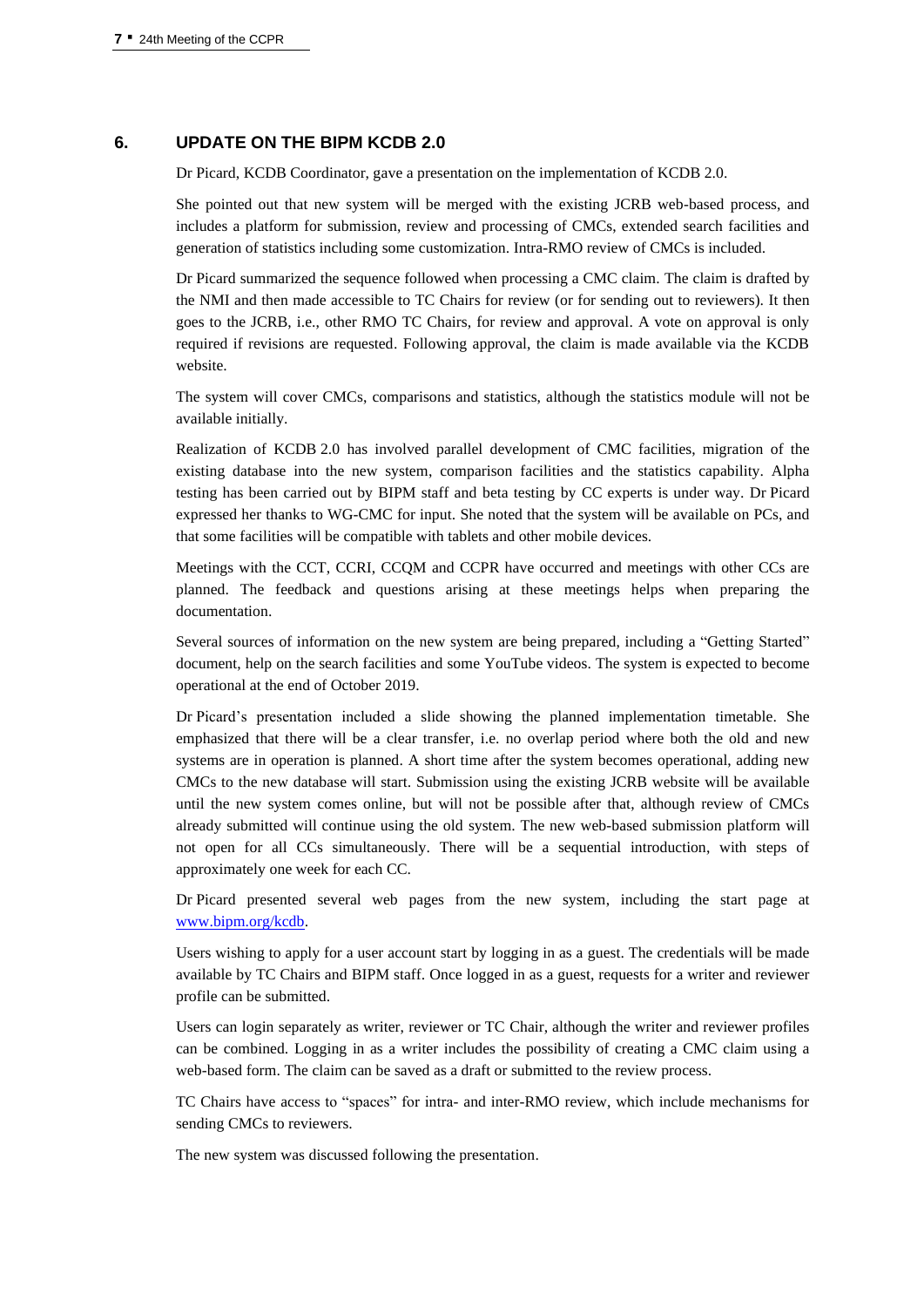# **6. UPDATE ON THE BIPM KCDB 2.0**

Dr Picard, KCDB Coordinator, gave a presentation on the implementation of KCDB 2.0.

She pointed out that new system will be merged with the existing JCRB web-based process, and includes a platform for submission, review and processing of CMCs, extended search facilities and generation of statistics including some customization. Intra-RMO review of CMCs is included.

Dr Picard summarized the sequence followed when processing a CMC claim. The claim is drafted by the NMI and then made accessible to TC Chairs for review (or for sending out to reviewers). It then goes to the JCRB, i.e., other RMO TC Chairs, for review and approval. A vote on approval is only required if revisions are requested. Following approval, the claim is made available via the KCDB website.

The system will cover CMCs, comparisons and statistics, although the statistics module will not be available initially.

Realization of KCDB 2.0 has involved parallel development of CMC facilities, migration of the existing database into the new system, comparison facilities and the statistics capability. Alpha testing has been carried out by BIPM staff and beta testing by CC experts is under way. Dr Picard expressed her thanks to WG-CMC for input. She noted that the system will be available on PCs, and that some facilities will be compatible with tablets and other mobile devices.

Meetings with the CCT, CCRI, CCQM and CCPR have occurred and meetings with other CCs are planned. The feedback and questions arising at these meetings helps when preparing the documentation.

Several sources of information on the new system are being prepared, including a "Getting Started" document, help on the search facilities and some YouTube videos. The system is expected to become operational at the end of October 2019.

Dr Picard's presentation included a slide showing the planned implementation timetable. She emphasized that there will be a clear transfer, i.e. no overlap period where both the old and new systems are in operation is planned. A short time after the system becomes operational, adding new CMCs to the new database will start. Submission using the existing JCRB website will be available until the new system comes online, but will not be possible after that, although review of CMCs already submitted will continue using the old system. The new web-based submission platform will not open for all CCs simultaneously. There will be a sequential introduction, with steps of approximately one week for each CC.

Dr Picard presented several web pages from the new system, including the start page at [www.bipm.org/kcdb.](https://www.bipm.org/kcdb)

Users wishing to apply for a user account start by logging in as a guest. The credentials will be made available by TC Chairs and BIPM staff. Once logged in as a guest, requests for a writer and reviewer profile can be submitted.

Users can login separately as writer, reviewer or TC Chair, although the writer and reviewer profiles can be combined. Logging in as a writer includes the possibility of creating a CMC claim using a web-based form. The claim can be saved as a draft or submitted to the review process.

TC Chairs have access to "spaces" for intra- and inter-RMO review, which include mechanisms for sending CMCs to reviewers.

The new system was discussed following the presentation.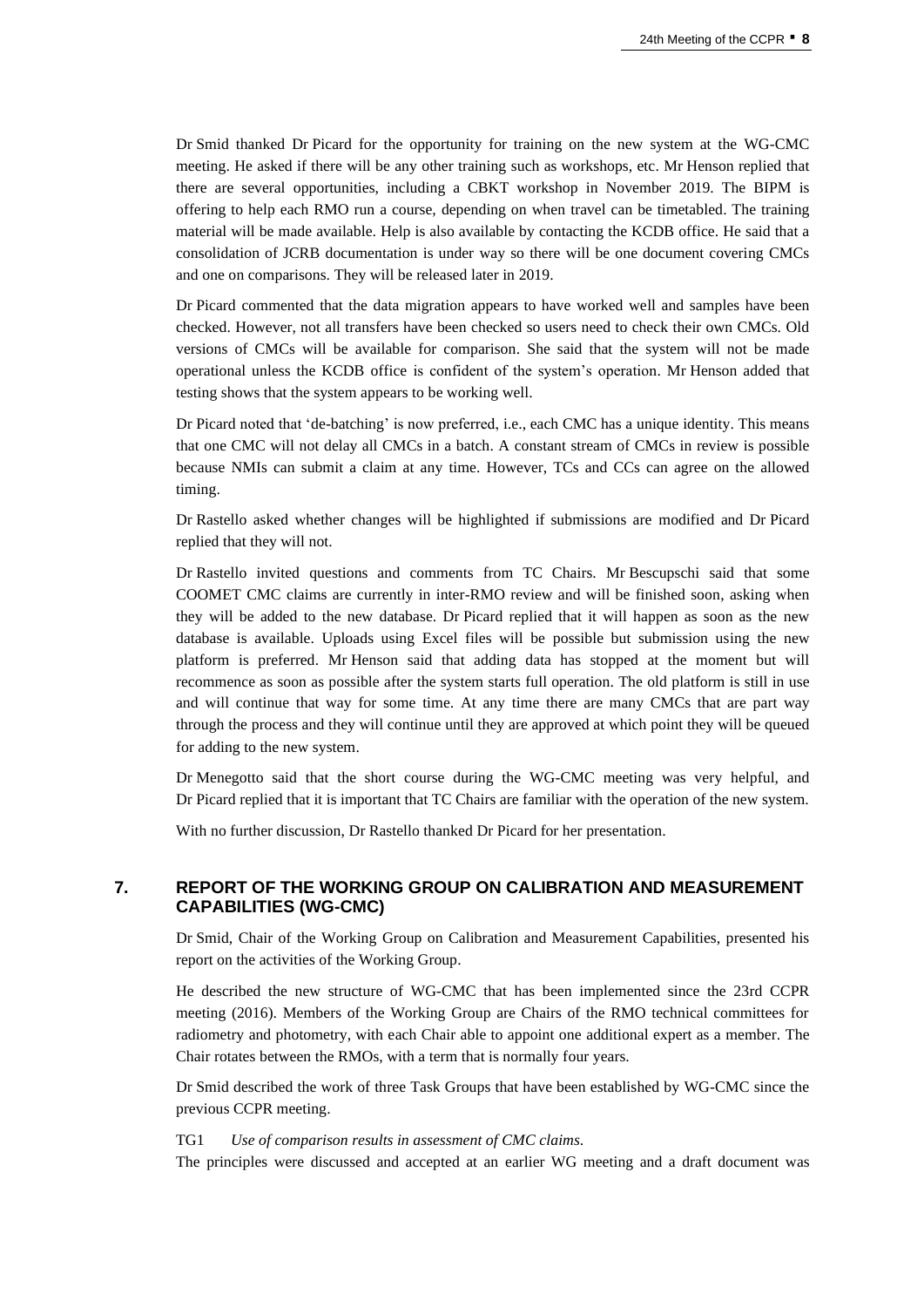Dr Smid thanked Dr Picard for the opportunity for training on the new system at the WG-CMC meeting. He asked if there will be any other training such as workshops, etc. Mr Henson replied that there are several opportunities, including a CBKT workshop in November 2019. The BIPM is offering to help each RMO run a course, depending on when travel can be timetabled. The training material will be made available. Help is also available by contacting the KCDB office. He said that a consolidation of JCRB documentation is under way so there will be one document covering CMCs and one on comparisons. They will be released later in 2019.

Dr Picard commented that the data migration appears to have worked well and samples have been checked. However, not all transfers have been checked so users need to check their own CMCs. Old versions of CMCs will be available for comparison. She said that the system will not be made operational unless the KCDB office is confident of the system's operation. Mr Henson added that testing shows that the system appears to be working well.

Dr Picard noted that 'de-batching' is now preferred, i.e., each CMC has a unique identity. This means that one CMC will not delay all CMCs in a batch. A constant stream of CMCs in review is possible because NMIs can submit a claim at any time. However, TCs and CCs can agree on the allowed timing.

Dr Rastello asked whether changes will be highlighted if submissions are modified and Dr Picard replied that they will not.

Dr Rastello invited questions and comments from TC Chairs. Mr Bescupschi said that some COOMET CMC claims are currently in inter-RMO review and will be finished soon, asking when they will be added to the new database. Dr Picard replied that it will happen as soon as the new database is available. Uploads using Excel files will be possible but submission using the new platform is preferred. Mr Henson said that adding data has stopped at the moment but will recommence as soon as possible after the system starts full operation. The old platform is still in use and will continue that way for some time. At any time there are many CMCs that are part way through the process and they will continue until they are approved at which point they will be queued for adding to the new system.

Dr Menegotto said that the short course during the WG-CMC meeting was very helpful, and Dr Picard replied that it is important that TC Chairs are familiar with the operation of the new system.

With no further discussion, Dr Rastello thanked Dr Picard for her presentation.

# **7. REPORT OF THE WORKING GROUP ON CALIBRATION AND MEASUREMENT CAPABILITIES (WG-CMC)**

Dr Smid, Chair of the Working Group on Calibration and Measurement Capabilities, presented his report on the activities of the Working Group.

He described the new structure of WG-CMC that has been implemented since the 23rd CCPR meeting (2016). Members of the Working Group are Chairs of the RMO technical committees for radiometry and photometry, with each Chair able to appoint one additional expert as a member. The Chair rotates between the RMOs, with a term that is normally four years.

Dr Smid described the work of three Task Groups that have been established by WG-CMC since the previous CCPR meeting.

#### TG1 *Use of comparison results in assessment of CMC claims*.

The principles were discussed and accepted at an earlier WG meeting and a draft document was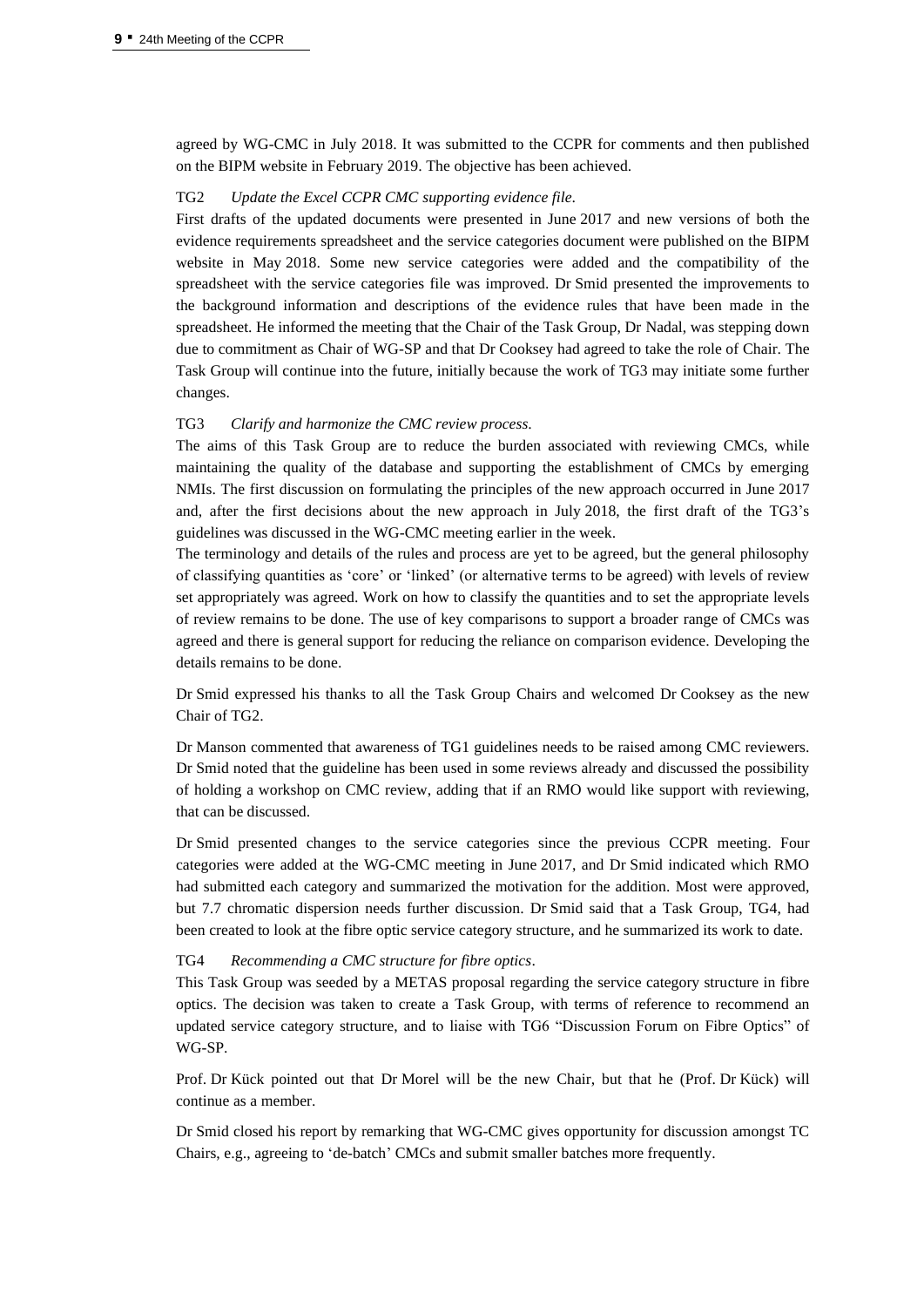agreed by WG-CMC in July 2018. It was submitted to the CCPR for comments and then published on the BIPM website in February 2019. The objective has been achieved.

## TG2 *Update the Excel CCPR CMC supporting evidence file*.

First drafts of the updated documents were presented in June 2017 and new versions of both the evidence requirements spreadsheet and the service categories document were published on the BIPM website in May 2018. Some new service categories were added and the compatibility of the spreadsheet with the service categories file was improved. Dr Smid presented the improvements to the background information and descriptions of the evidence rules that have been made in the spreadsheet. He informed the meeting that the Chair of the Task Group, Dr Nadal, was stepping down due to commitment as Chair of WG-SP and that Dr Cooksey had agreed to take the role of Chair. The Task Group will continue into the future, initially because the work of TG3 may initiate some further changes.

#### TG3 *Clarify and harmonize the CMC review process*.

The aims of this Task Group are to reduce the burden associated with reviewing CMCs, while maintaining the quality of the database and supporting the establishment of CMCs by emerging NMIs. The first discussion on formulating the principles of the new approach occurred in June 2017 and, after the first decisions about the new approach in July 2018, the first draft of the TG3's guidelines was discussed in the WG-CMC meeting earlier in the week.

The terminology and details of the rules and process are yet to be agreed, but the general philosophy of classifying quantities as 'core' or 'linked' (or alternative terms to be agreed) with levels of review set appropriately was agreed. Work on how to classify the quantities and to set the appropriate levels of review remains to be done. The use of key comparisons to support a broader range of CMCs was agreed and there is general support for reducing the reliance on comparison evidence. Developing the details remains to be done.

Dr Smid expressed his thanks to all the Task Group Chairs and welcomed Dr Cooksey as the new Chair of TG2.

Dr Manson commented that awareness of TG1 guidelines needs to be raised among CMC reviewers. Dr Smid noted that the guideline has been used in some reviews already and discussed the possibility of holding a workshop on CMC review, adding that if an RMO would like support with reviewing, that can be discussed.

Dr Smid presented changes to the service categories since the previous CCPR meeting. Four categories were added at the WG-CMC meeting in June 2017, and Dr Smid indicated which RMO had submitted each category and summarized the motivation for the addition. Most were approved, but 7.7 chromatic dispersion needs further discussion. Dr Smid said that a Task Group, TG4, had been created to look at the fibre optic service category structure, and he summarized its work to date.

#### TG4 *Recommending a CMC structure for fibre optics*.

This Task Group was seeded by a METAS proposal regarding the service category structure in fibre optics. The decision was taken to create a Task Group, with terms of reference to recommend an updated service category structure, and to liaise with TG6 "Discussion Forum on Fibre Optics" of WG-SP.

Prof. Dr Kück pointed out that Dr Morel will be the new Chair, but that he (Prof. Dr Kück) will continue as a member.

Dr Smid closed his report by remarking that WG-CMC gives opportunity for discussion amongst TC Chairs, e.g., agreeing to 'de-batch' CMCs and submit smaller batches more frequently.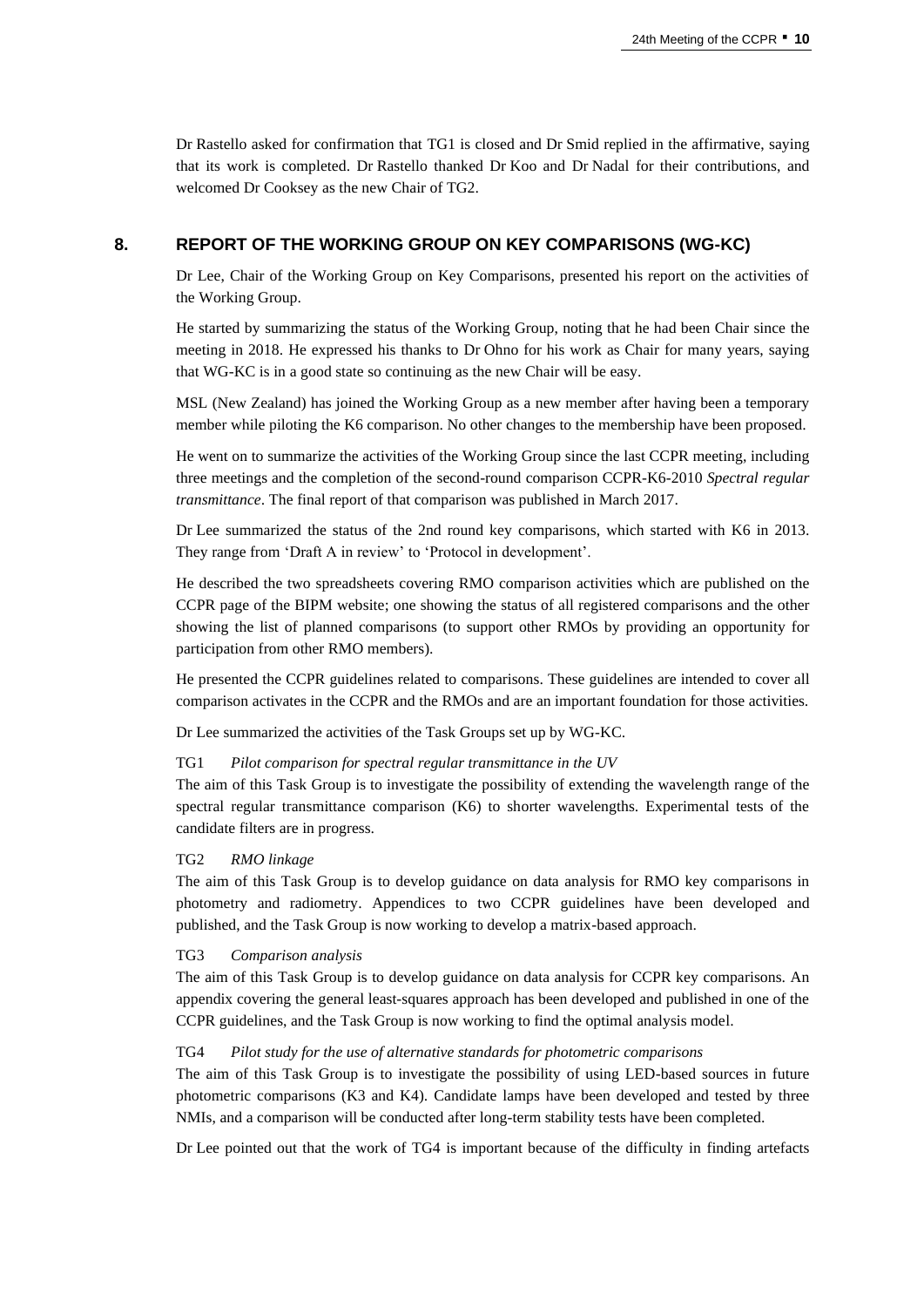Dr Rastello asked for confirmation that TG1 is closed and Dr Smid replied in the affirmative, saying that its work is completed. Dr Rastello thanked Dr Koo and Dr Nadal for their contributions, and welcomed Dr Cooksey as the new Chair of TG2.

# **8. REPORT OF THE WORKING GROUP ON KEY COMPARISONS (WG-KC)**

Dr Lee, Chair of the Working Group on Key Comparisons, presented his report on the activities of the Working Group.

He started by summarizing the status of the Working Group, noting that he had been Chair since the meeting in 2018. He expressed his thanks to Dr Ohno for his work as Chair for many years, saying that WG-KC is in a good state so continuing as the new Chair will be easy.

MSL (New Zealand) has joined the Working Group as a new member after having been a temporary member while piloting the K6 comparison. No other changes to the membership have been proposed.

He went on to summarize the activities of the Working Group since the last CCPR meeting, including three meetings and the completion of the second-round comparison CCPR-K6-2010 *Spectral regular transmittance*. The final report of that comparison was published in March 2017.

Dr Lee summarized the status of the 2nd round key comparisons, which started with K6 in 2013. They range from 'Draft A in review' to 'Protocol in development'.

He described the two spreadsheets covering RMO comparison activities which are published on the CCPR page of the BIPM website; one showing the status of all registered comparisons and the other showing the list of planned comparisons (to support other RMOs by providing an opportunity for participation from other RMO members).

He presented the CCPR guidelines related to comparisons. These guidelines are intended to cover all comparison activates in the CCPR and the RMOs and are an important foundation for those activities.

Dr Lee summarized the activities of the Task Groups set up by WG-KC.

#### TG1 *Pilot comparison for spectral regular transmittance in the UV*

The aim of this Task Group is to investigate the possibility of extending the wavelength range of the spectral regular transmittance comparison (K6) to shorter wavelengths. Experimental tests of the candidate filters are in progress.

# TG2 *RMO linkage*

The aim of this Task Group is to develop guidance on data analysis for RMO key comparisons in photometry and radiometry. Appendices to two CCPR guidelines have been developed and published, and the Task Group is now working to develop a matrix-based approach.

#### TG3 *Comparison analysis*

The aim of this Task Group is to develop guidance on data analysis for CCPR key comparisons. An appendix covering the general least-squares approach has been developed and published in one of the CCPR guidelines, and the Task Group is now working to find the optimal analysis model.

## TG4 *Pilot study for the use of alternative standards for photometric comparisons*

The aim of this Task Group is to investigate the possibility of using LED-based sources in future photometric comparisons (K3 and K4). Candidate lamps have been developed and tested by three NMIs, and a comparison will be conducted after long-term stability tests have been completed.

Dr Lee pointed out that the work of TG4 is important because of the difficulty in finding artefacts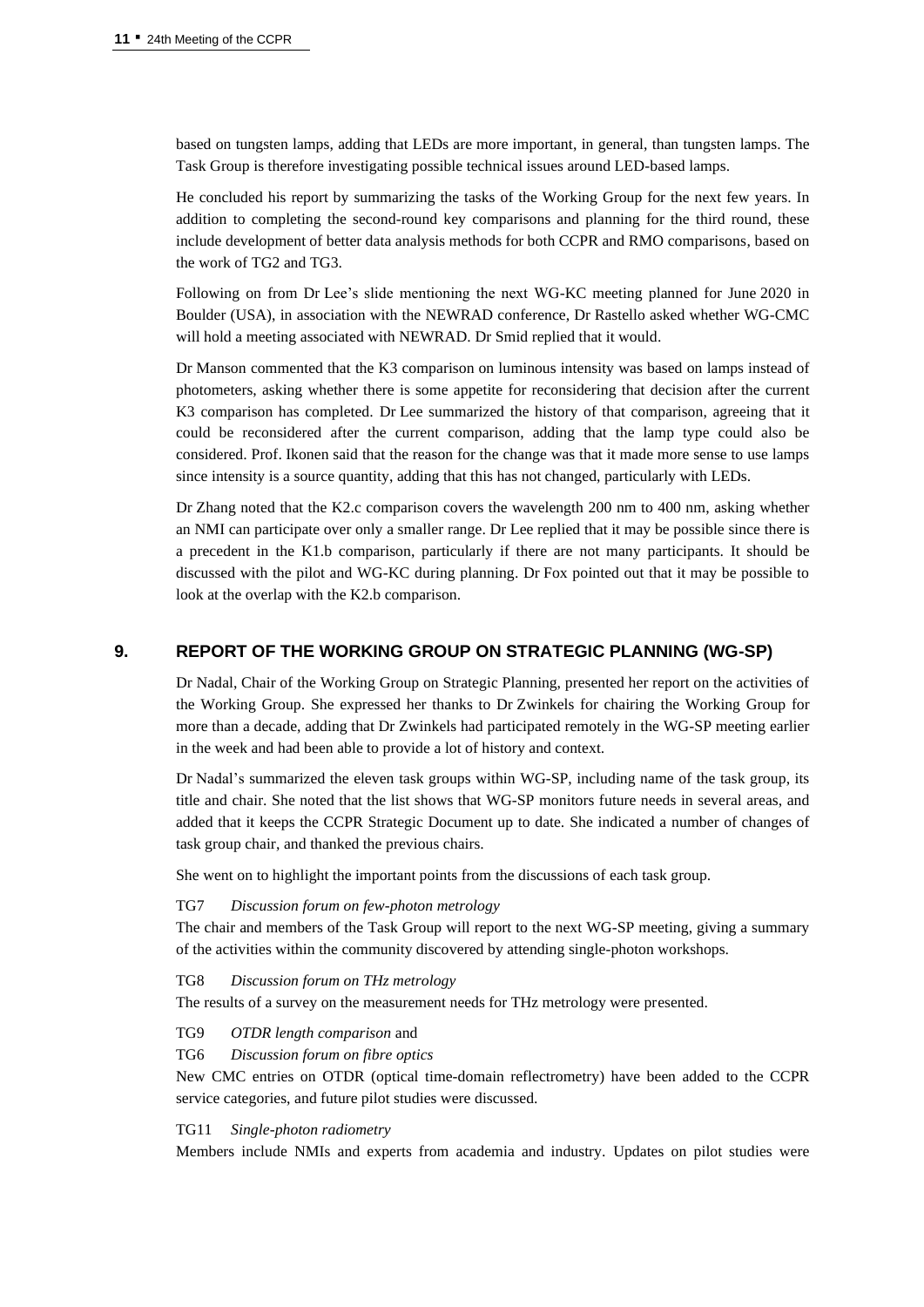based on tungsten lamps, adding that LEDs are more important, in general, than tungsten lamps. The Task Group is therefore investigating possible technical issues around LED-based lamps.

He concluded his report by summarizing the tasks of the Working Group for the next few years. In addition to completing the second-round key comparisons and planning for the third round, these include development of better data analysis methods for both CCPR and RMO comparisons, based on the work of TG2 and TG3.

Following on from Dr Lee's slide mentioning the next WG-KC meeting planned for June 2020 in Boulder (USA), in association with the NEWRAD conference, Dr Rastello asked whether WG-CMC will hold a meeting associated with NEWRAD. Dr Smid replied that it would.

Dr Manson commented that the K3 comparison on luminous intensity was based on lamps instead of photometers, asking whether there is some appetite for reconsidering that decision after the current K3 comparison has completed. Dr Lee summarized the history of that comparison, agreeing that it could be reconsidered after the current comparison, adding that the lamp type could also be considered. Prof. Ikonen said that the reason for the change was that it made more sense to use lamps since intensity is a source quantity, adding that this has not changed, particularly with LEDs.

Dr Zhang noted that the K2.c comparison covers the wavelength 200 nm to 400 nm, asking whether an NMI can participate over only a smaller range. Dr Lee replied that it may be possible since there is a precedent in the K1.b comparison, particularly if there are not many participants. It should be discussed with the pilot and WG-KC during planning. Dr Fox pointed out that it may be possible to look at the overlap with the K2.b comparison.

## **9. REPORT OF THE WORKING GROUP ON STRATEGIC PLANNING (WG-SP)**

Dr Nadal, Chair of the Working Group on Strategic Planning, presented her report on the activities of the Working Group. She expressed her thanks to Dr Zwinkels for chairing the Working Group for more than a decade, adding that Dr Zwinkels had participated remotely in the WG-SP meeting earlier in the week and had been able to provide a lot of history and context.

Dr Nadal's summarized the eleven task groups within WG-SP, including name of the task group, its title and chair. She noted that the list shows that WG-SP monitors future needs in several areas, and added that it keeps the CCPR Strategic Document up to date. She indicated a number of changes of task group chair, and thanked the previous chairs.

She went on to highlight the important points from the discussions of each task group.

#### TG7 *Discussion forum on few-photon metrology*

The chair and members of the Task Group will report to the next WG-SP meeting, giving a summary of the activities within the community discovered by attending single-photon workshops.

## TG8 *Discussion forum on THz metrology*

The results of a survey on the measurement needs for THz metrology were presented.

- TG9 *OTDR length comparison* and
- TG6 *Discussion forum on fibre optics*

New CMC entries on OTDR (optical time-domain reflectrometry) have been added to the CCPR service categories, and future pilot studies were discussed.

## TG11 *Single-photon radiometry*

Members include NMIs and experts from academia and industry. Updates on pilot studies were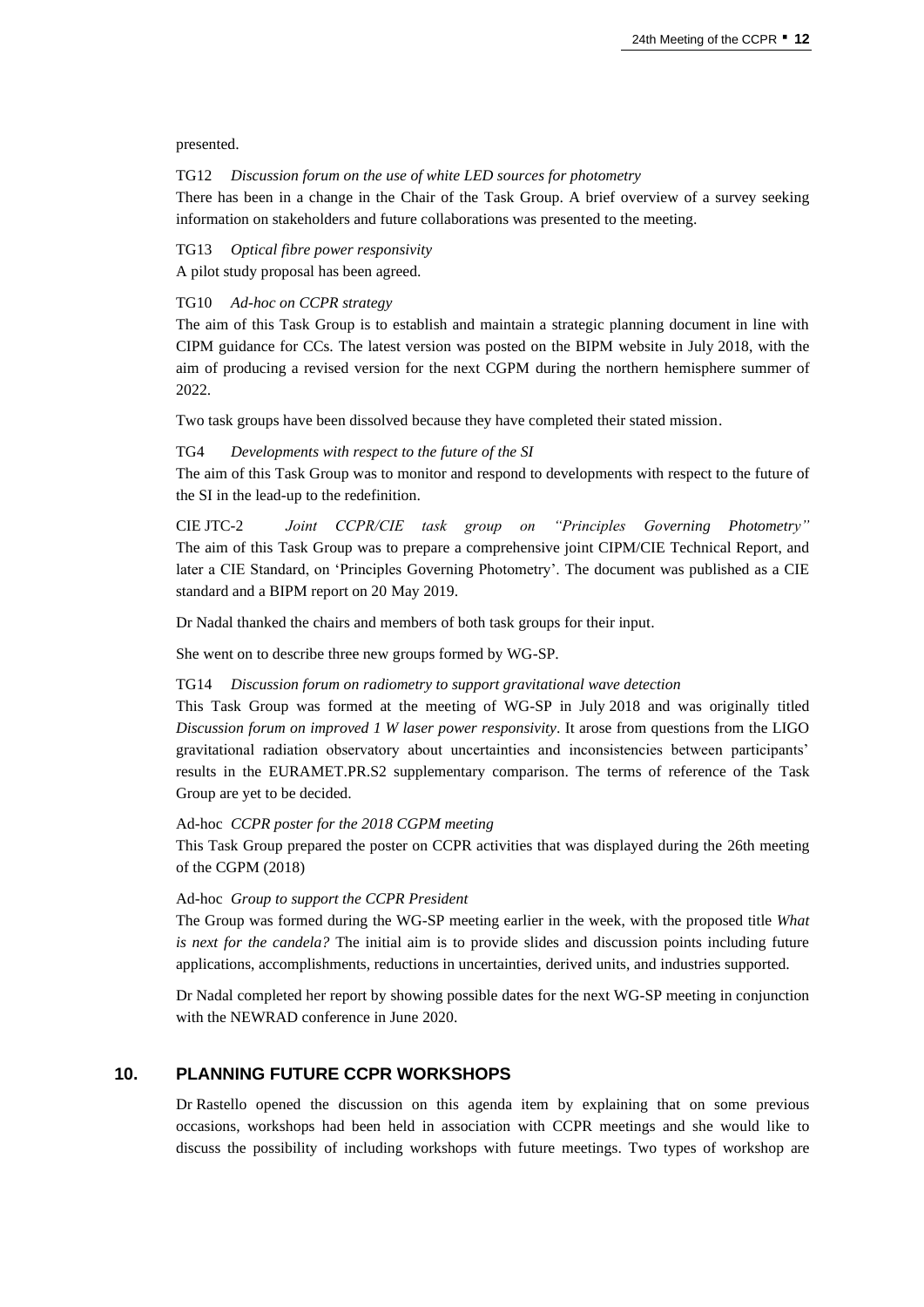presented.

#### TG12 *Discussion forum on the use of white LED sources for photometry*

There has been in a change in the Chair of the Task Group. A brief overview of a survey seeking information on stakeholders and future collaborations was presented to the meeting.

## TG13 *Optical fibre power responsivity*

A pilot study proposal has been agreed.

#### TG10 *Ad-hoc on CCPR strategy*

The aim of this Task Group is to establish and maintain a strategic planning document in line with CIPM guidance for CCs. The latest version was posted on the BIPM website in July 2018, with the aim of producing a revised version for the next CGPM during the northern hemisphere summer of 2022.

Two task groups have been dissolved because they have completed their stated mission.

## TG4 *Developments with respect to the future of the SI*

The aim of this Task Group was to monitor and respond to developments with respect to the future of the SI in the lead-up to the redefinition.

CIE JTC-2 *Joint CCPR/CIE task group on "Principles Governing Photometry"* The aim of this Task Group was to prepare a comprehensive joint CIPM/CIE Technical Report, and later a CIE Standard, on 'Principles Governing Photometry'. The document was published as a CIE standard and a BIPM report on 20 May 2019.

Dr Nadal thanked the chairs and members of both task groups for their input.

She went on to describe three new groups formed by WG-SP.

#### TG14 *Discussion forum on radiometry to support gravitational wave detection*

This Task Group was formed at the meeting of WG-SP in July 2018 and was originally titled *Discussion forum on improved 1 W laser power responsivity*. It arose from questions from the LIGO gravitational radiation observatory about uncertainties and inconsistencies between participants' results in the EURAMET.PR.S2 supplementary comparison. The terms of reference of the Task Group are yet to be decided.

# Ad-hoc *CCPR poster for the 2018 CGPM meeting*

This Task Group prepared the poster on CCPR activities that was displayed during the 26th meeting of the CGPM (2018)

#### Ad-hoc *Group to support the CCPR President*

The Group was formed during the WG-SP meeting earlier in the week, with the proposed title *What is next for the candela?* The initial aim is to provide slides and discussion points including future applications, accomplishments, reductions in uncertainties, derived units, and industries supported.

Dr Nadal completed her report by showing possible dates for the next WG-SP meeting in conjunction with the NEWRAD conference in June 2020.

# **10. PLANNING FUTURE CCPR WORKSHOPS**

Dr Rastello opened the discussion on this agenda item by explaining that on some previous occasions, workshops had been held in association with CCPR meetings and she would like to discuss the possibility of including workshops with future meetings. Two types of workshop are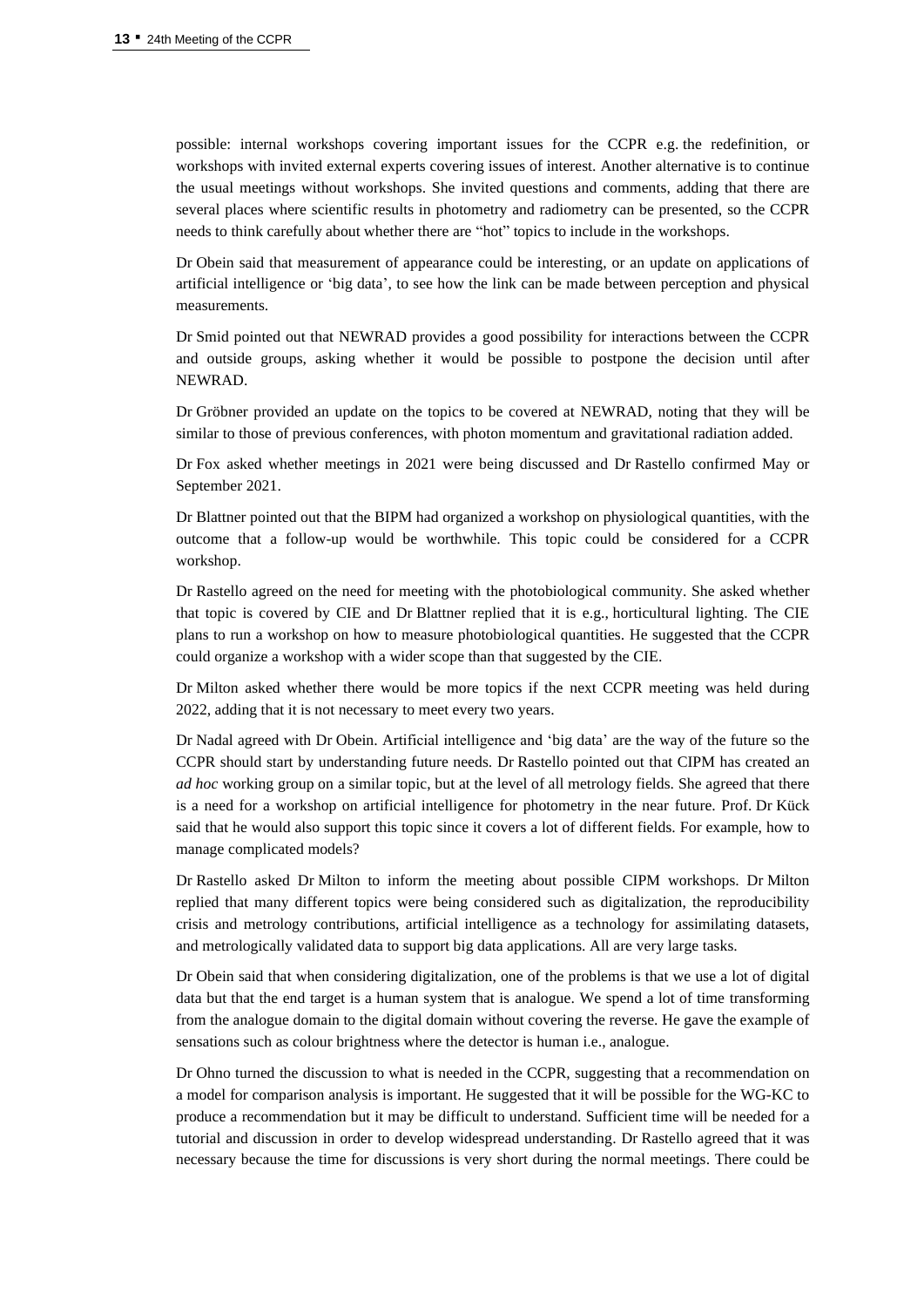possible: internal workshops covering important issues for the CCPR e.g. the redefinition, or workshops with invited external experts covering issues of interest. Another alternative is to continue the usual meetings without workshops. She invited questions and comments, adding that there are several places where scientific results in photometry and radiometry can be presented, so the CCPR needs to think carefully about whether there are "hot" topics to include in the workshops.

Dr Obein said that measurement of appearance could be interesting, or an update on applications of artificial intelligence or 'big data', to see how the link can be made between perception and physical measurements.

Dr Smid pointed out that NEWRAD provides a good possibility for interactions between the CCPR and outside groups, asking whether it would be possible to postpone the decision until after NEWRAD.

Dr Gröbner provided an update on the topics to be covered at NEWRAD, noting that they will be similar to those of previous conferences, with photon momentum and gravitational radiation added.

Dr Fox asked whether meetings in 2021 were being discussed and Dr Rastello confirmed May or September 2021.

Dr Blattner pointed out that the BIPM had organized a workshop on physiological quantities, with the outcome that a follow-up would be worthwhile. This topic could be considered for a CCPR workshop.

Dr Rastello agreed on the need for meeting with the photobiological community. She asked whether that topic is covered by CIE and Dr Blattner replied that it is e.g., horticultural lighting. The CIE plans to run a workshop on how to measure photobiological quantities. He suggested that the CCPR could organize a workshop with a wider scope than that suggested by the CIE.

Dr Milton asked whether there would be more topics if the next CCPR meeting was held during 2022, adding that it is not necessary to meet every two years.

Dr Nadal agreed with Dr Obein. Artificial intelligence and 'big data' are the way of the future so the CCPR should start by understanding future needs. Dr Rastello pointed out that CIPM has created an *ad hoc* working group on a similar topic, but at the level of all metrology fields. She agreed that there is a need for a workshop on artificial intelligence for photometry in the near future. Prof. Dr Kück said that he would also support this topic since it covers a lot of different fields. For example, how to manage complicated models?

Dr Rastello asked Dr Milton to inform the meeting about possible CIPM workshops. Dr Milton replied that many different topics were being considered such as digitalization, the reproducibility crisis and metrology contributions, artificial intelligence as a technology for assimilating datasets, and metrologically validated data to support big data applications. All are very large tasks.

Dr Obein said that when considering digitalization, one of the problems is that we use a lot of digital data but that the end target is a human system that is analogue. We spend a lot of time transforming from the analogue domain to the digital domain without covering the reverse. He gave the example of sensations such as colour brightness where the detector is human i.e., analogue.

Dr Ohno turned the discussion to what is needed in the CCPR, suggesting that a recommendation on a model for comparison analysis is important. He suggested that it will be possible for the WG-KC to produce a recommendation but it may be difficult to understand. Sufficient time will be needed for a tutorial and discussion in order to develop widespread understanding. Dr Rastello agreed that it was necessary because the time for discussions is very short during the normal meetings. There could be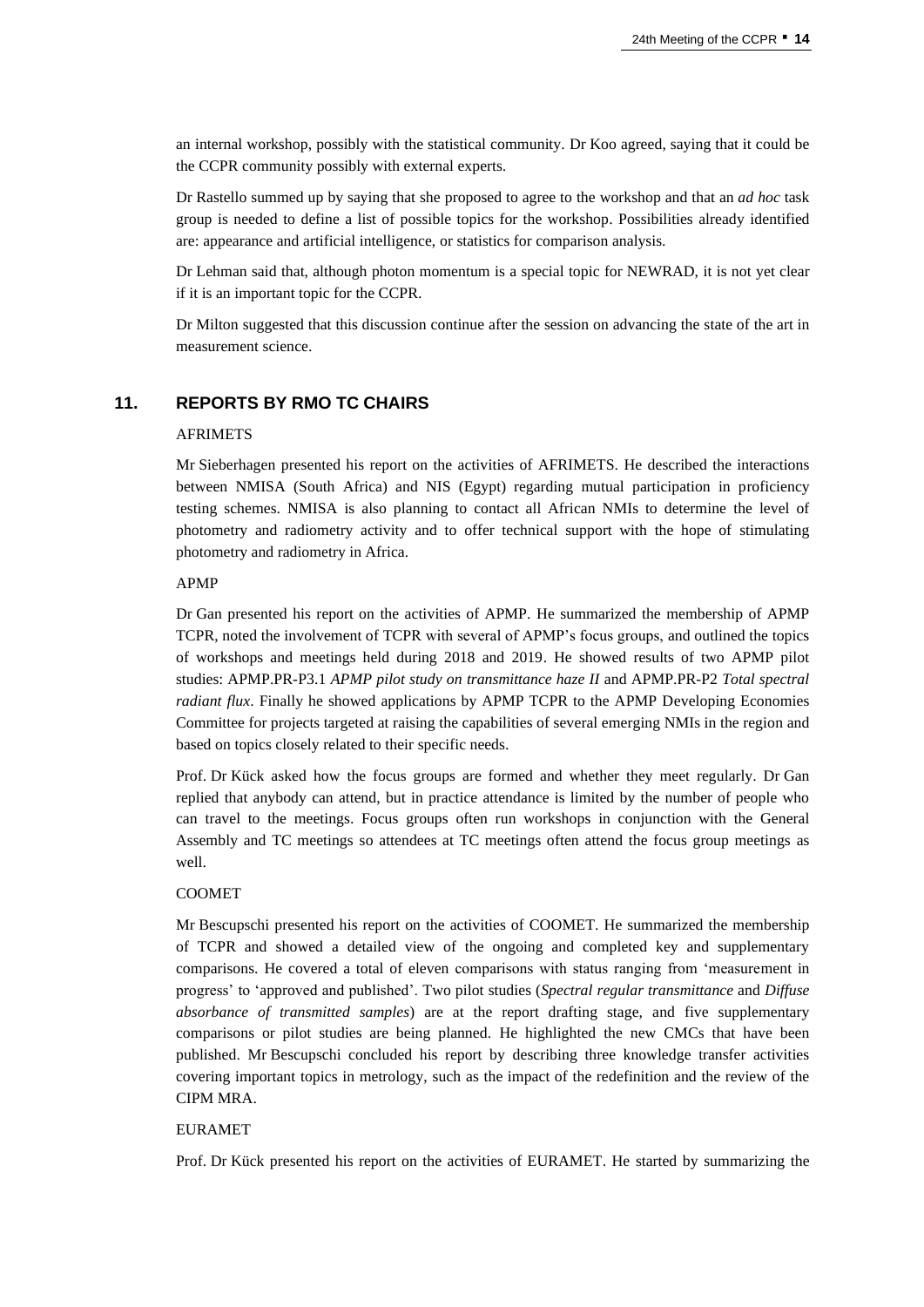an internal workshop, possibly with the statistical community. Dr Koo agreed, saying that it could be the CCPR community possibly with external experts.

Dr Rastello summed up by saying that she proposed to agree to the workshop and that an *ad hoc* task group is needed to define a list of possible topics for the workshop. Possibilities already identified are: appearance and artificial intelligence, or statistics for comparison analysis.

Dr Lehman said that, although photon momentum is a special topic for NEWRAD, it is not yet clear if it is an important topic for the CCPR.

Dr Milton suggested that this discussion continue after the session on advancing the state of the art in measurement science.

# **11. REPORTS BY RMO TC CHAIRS**

# AFRIMETS

Mr Sieberhagen presented his report on the activities of AFRIMETS. He described the interactions between NMISA (South Africa) and NIS (Egypt) regarding mutual participation in proficiency testing schemes. NMISA is also planning to contact all African NMIs to determine the level of photometry and radiometry activity and to offer technical support with the hope of stimulating photometry and radiometry in Africa.

## APMP

Dr Gan presented his report on the activities of APMP. He summarized the membership of APMP TCPR, noted the involvement of TCPR with several of APMP's focus groups, and outlined the topics of workshops and meetings held during 2018 and 2019. He showed results of two APMP pilot studies: APMP.PR-P3.1 *APMP pilot study on transmittance haze II* and APMP.PR-P2 *Total spectral radiant flux*. Finally he showed applications by APMP TCPR to the APMP Developing Economies Committee for projects targeted at raising the capabilities of several emerging NMIs in the region and based on topics closely related to their specific needs.

Prof. Dr Kück asked how the focus groups are formed and whether they meet regularly. Dr Gan replied that anybody can attend, but in practice attendance is limited by the number of people who can travel to the meetings. Focus groups often run workshops in conjunction with the General Assembly and TC meetings so attendees at TC meetings often attend the focus group meetings as well.

#### COOMET

Mr Bescupschi presented his report on the activities of COOMET. He summarized the membership of TCPR and showed a detailed view of the ongoing and completed key and supplementary comparisons. He covered a total of eleven comparisons with status ranging from 'measurement in progress' to 'approved and published'. Two pilot studies (*Spectral regular transmittance* and *Diffuse absorbance of transmitted samples*) are at the report drafting stage, and five supplementary comparisons or pilot studies are being planned. He highlighted the new CMCs that have been published. Mr Bescupschi concluded his report by describing three knowledge transfer activities covering important topics in metrology, such as the impact of the redefinition and the review of the CIPM MRA.

## EURAMET

Prof. Dr Kück presented his report on the activities of EURAMET. He started by summarizing the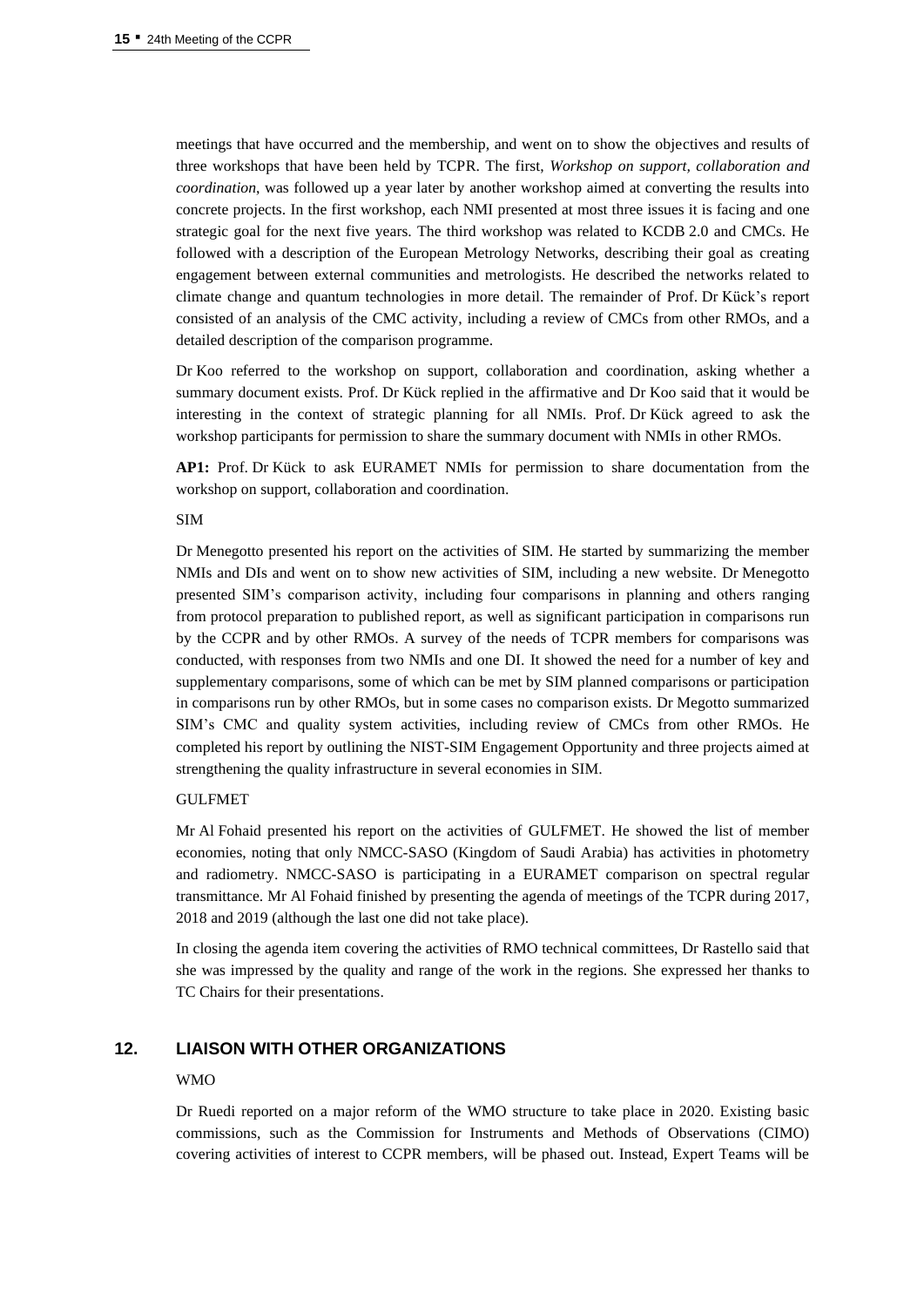meetings that have occurred and the membership, and went on to show the objectives and results of three workshops that have been held by TCPR. The first, *Workshop on support, collaboration and coordination*, was followed up a year later by another workshop aimed at converting the results into concrete projects. In the first workshop, each NMI presented at most three issues it is facing and one strategic goal for the next five years. The third workshop was related to KCDB 2.0 and CMCs. He followed with a description of the European Metrology Networks, describing their goal as creating engagement between external communities and metrologists. He described the networks related to climate change and quantum technologies in more detail. The remainder of Prof. Dr Kück's report consisted of an analysis of the CMC activity, including a review of CMCs from other RMOs, and a detailed description of the comparison programme.

Dr Koo referred to the workshop on support, collaboration and coordination, asking whether a summary document exists. Prof. Dr Kück replied in the affirmative and Dr Koo said that it would be interesting in the context of strategic planning for all NMIs. Prof. Dr Kück agreed to ask the workshop participants for permission to share the summary document with NMIs in other RMOs.

**AP1:** Prof. Dr Kück to ask EURAMET NMIs for permission to share documentation from the workshop on support, collaboration and coordination.

#### SIM

Dr Menegotto presented his report on the activities of SIM. He started by summarizing the member NMIs and DIs and went on to show new activities of SIM, including a new website. Dr Menegotto presented SIM's comparison activity, including four comparisons in planning and others ranging from protocol preparation to published report, as well as significant participation in comparisons run by the CCPR and by other RMOs. A survey of the needs of TCPR members for comparisons was conducted, with responses from two NMIs and one DI. It showed the need for a number of key and supplementary comparisons, some of which can be met by SIM planned comparisons or participation in comparisons run by other RMOs, but in some cases no comparison exists. Dr Megotto summarized SIM's CMC and quality system activities, including review of CMCs from other RMOs. He completed his report by outlining the NIST-SIM Engagement Opportunity and three projects aimed at strengthening the quality infrastructure in several economies in SIM.

#### GULFMET

Mr Al Fohaid presented his report on the activities of GULFMET. He showed the list of member economies, noting that only NMCC-SASO (Kingdom of Saudi Arabia) has activities in photometry and radiometry. NMCC-SASO is participating in a EURAMET comparison on spectral regular transmittance. Mr Al Fohaid finished by presenting the agenda of meetings of the TCPR during 2017, 2018 and 2019 (although the last one did not take place).

In closing the agenda item covering the activities of RMO technical committees, Dr Rastello said that she was impressed by the quality and range of the work in the regions. She expressed her thanks to TC Chairs for their presentations.

# **12. LIAISON WITH OTHER ORGANIZATIONS**

#### WMO

Dr Ruedi reported on a major reform of the WMO structure to take place in 2020. Existing basic commissions, such as the Commission for Instruments and Methods of Observations (CIMO) covering activities of interest to CCPR members, will be phased out. Instead, Expert Teams will be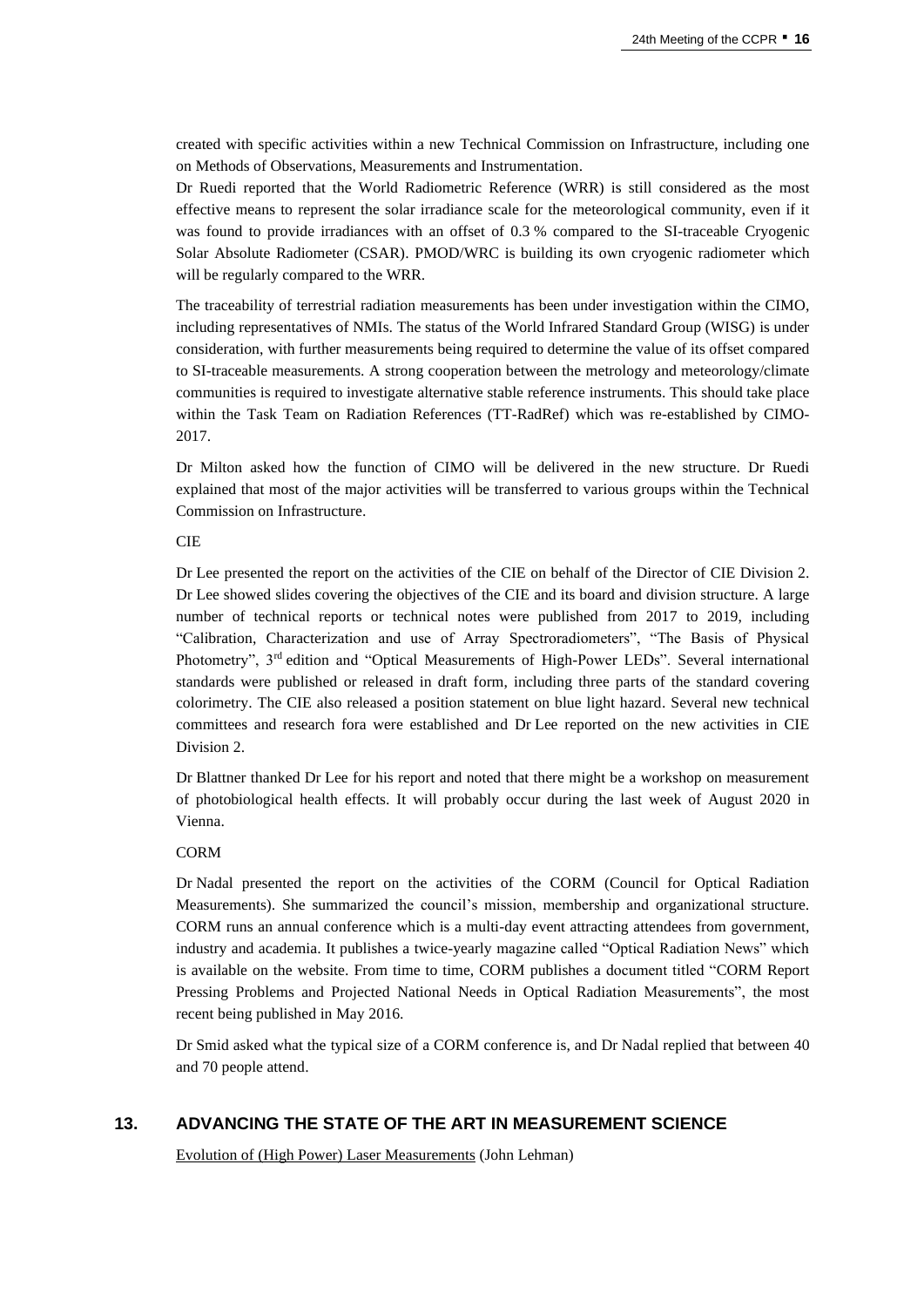created with specific activities within a new Technical Commission on Infrastructure, including one on Methods of Observations, Measurements and Instrumentation.

Dr Ruedi reported that the World Radiometric Reference (WRR) is still considered as the most effective means to represent the solar irradiance scale for the meteorological community, even if it was found to provide irradiances with an offset of 0.3 % compared to the SI-traceable Cryogenic Solar Absolute Radiometer (CSAR). PMOD/WRC is building its own cryogenic radiometer which will be regularly compared to the WRR.

The traceability of terrestrial radiation measurements has been under investigation within the CIMO, including representatives of NMIs. The status of the World Infrared Standard Group (WISG) is under consideration, with further measurements being required to determine the value of its offset compared to SI-traceable measurements. A strong cooperation between the metrology and meteorology/climate communities is required to investigate alternative stable reference instruments. This should take place within the Task Team on Radiation References (TT-RadRef) which was re-established by CIMO-2017.

Dr Milton asked how the function of CIMO will be delivered in the new structure. Dr Ruedi explained that most of the major activities will be transferred to various groups within the Technical Commission on Infrastructure.

#### **CIE**

Dr Lee presented the report on the activities of the CIE on behalf of the Director of CIE Division 2. Dr Lee showed slides covering the objectives of the CIE and its board and division structure. A large number of technical reports or technical notes were published from 2017 to 2019, including "Calibration, Characterization and use of Array Spectroradiometers", "The Basis of Physical Photometry", 3<sup>rd</sup> edition and "Optical Measurements of High-Power LEDs". Several international standards were published or released in draft form, including three parts of the standard covering colorimetry. The CIE also released a position statement on blue light hazard. Several new technical committees and research fora were established and Dr Lee reported on the new activities in CIE Division 2.

Dr Blattner thanked Dr Lee for his report and noted that there might be a workshop on measurement of photobiological health effects. It will probably occur during the last week of August 2020 in Vienna.

#### CORM

Dr Nadal presented the report on the activities of the CORM (Council for Optical Radiation Measurements). She summarized the council's mission, membership and organizational structure. CORM runs an annual conference which is a multi-day event attracting attendees from government, industry and academia. It publishes a twice-yearly magazine called "Optical Radiation News" which is available on the website. From time to time, CORM publishes a document titled "CORM Report Pressing Problems and Projected National Needs in Optical Radiation Measurements", the most recent being published in May 2016.

Dr Smid asked what the typical size of a CORM conference is, and Dr Nadal replied that between 40 and 70 people attend.

# **13. ADVANCING THE STATE OF THE ART IN MEASUREMENT SCIENCE**

Evolution of (High Power) Laser Measurements (John Lehman)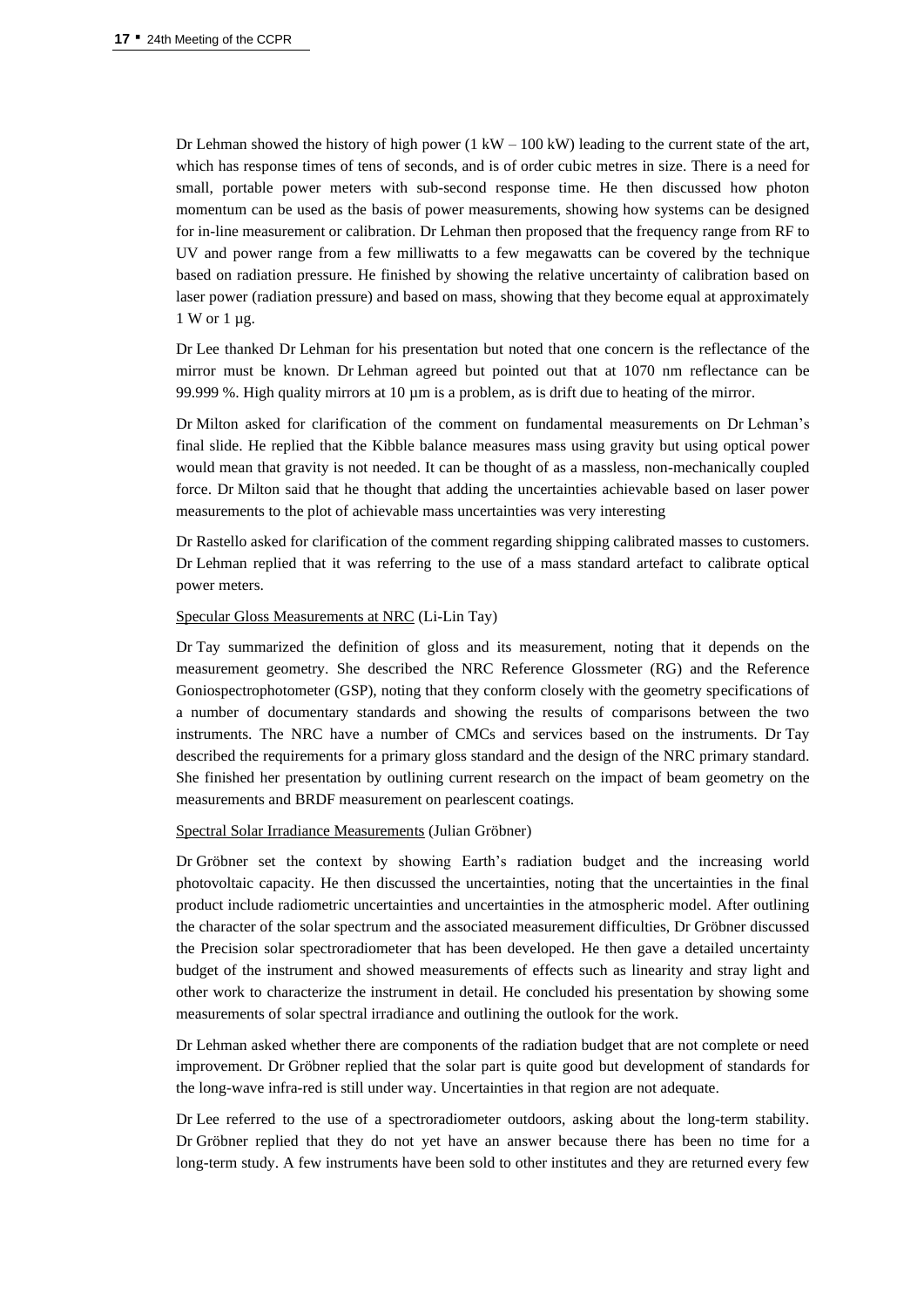Dr Lehman showed the history of high power  $(1 \text{ kW} - 100 \text{ kW})$  leading to the current state of the art, which has response times of tens of seconds, and is of order cubic metres in size. There is a need for small, portable power meters with sub-second response time. He then discussed how photon momentum can be used as the basis of power measurements, showing how systems can be designed for in-line measurement or calibration. Dr Lehman then proposed that the frequency range from RF to UV and power range from a few milliwatts to a few megawatts can be covered by the technique based on radiation pressure. He finished by showing the relative uncertainty of calibration based on laser power (radiation pressure) and based on mass, showing that they become equal at approximately 1 W or 1 µg.

Dr Lee thanked Dr Lehman for his presentation but noted that one concern is the reflectance of the mirror must be known. Dr Lehman agreed but pointed out that at 1070 nm reflectance can be 99.999 %. High quality mirrors at  $10 \mu m$  is a problem, as is drift due to heating of the mirror.

Dr Milton asked for clarification of the comment on fundamental measurements on Dr Lehman's final slide. He replied that the Kibble balance measures mass using gravity but using optical power would mean that gravity is not needed. It can be thought of as a massless, non-mechanically coupled force. Dr Milton said that he thought that adding the uncertainties achievable based on laser power measurements to the plot of achievable mass uncertainties was very interesting

Dr Rastello asked for clarification of the comment regarding shipping calibrated masses to customers. Dr Lehman replied that it was referring to the use of a mass standard artefact to calibrate optical power meters.

#### Specular Gloss Measurements at NRC (Li-Lin Tay)

Dr Tay summarized the definition of gloss and its measurement, noting that it depends on the measurement geometry. She described the NRC Reference Glossmeter (RG) and the Reference Goniospectrophotometer (GSP), noting that they conform closely with the geometry specifications of a number of documentary standards and showing the results of comparisons between the two instruments. The NRC have a number of CMCs and services based on the instruments. Dr Tay described the requirements for a primary gloss standard and the design of the NRC primary standard. She finished her presentation by outlining current research on the impact of beam geometry on the measurements and BRDF measurement on pearlescent coatings.

## Spectral Solar Irradiance Measurements (Julian Gröbner)

Dr Gröbner set the context by showing Earth's radiation budget and the increasing world photovoltaic capacity. He then discussed the uncertainties, noting that the uncertainties in the final product include radiometric uncertainties and uncertainties in the atmospheric model. After outlining the character of the solar spectrum and the associated measurement difficulties, Dr Gröbner discussed the Precision solar spectroradiometer that has been developed. He then gave a detailed uncertainty budget of the instrument and showed measurements of effects such as linearity and stray light and other work to characterize the instrument in detail. He concluded his presentation by showing some measurements of solar spectral irradiance and outlining the outlook for the work.

Dr Lehman asked whether there are components of the radiation budget that are not complete or need improvement. Dr Gröbner replied that the solar part is quite good but development of standards for the long-wave infra-red is still under way. Uncertainties in that region are not adequate.

Dr Lee referred to the use of a spectroradiometer outdoors, asking about the long-term stability. Dr Gröbner replied that they do not yet have an answer because there has been no time for a long-term study. A few instruments have been sold to other institutes and they are returned every few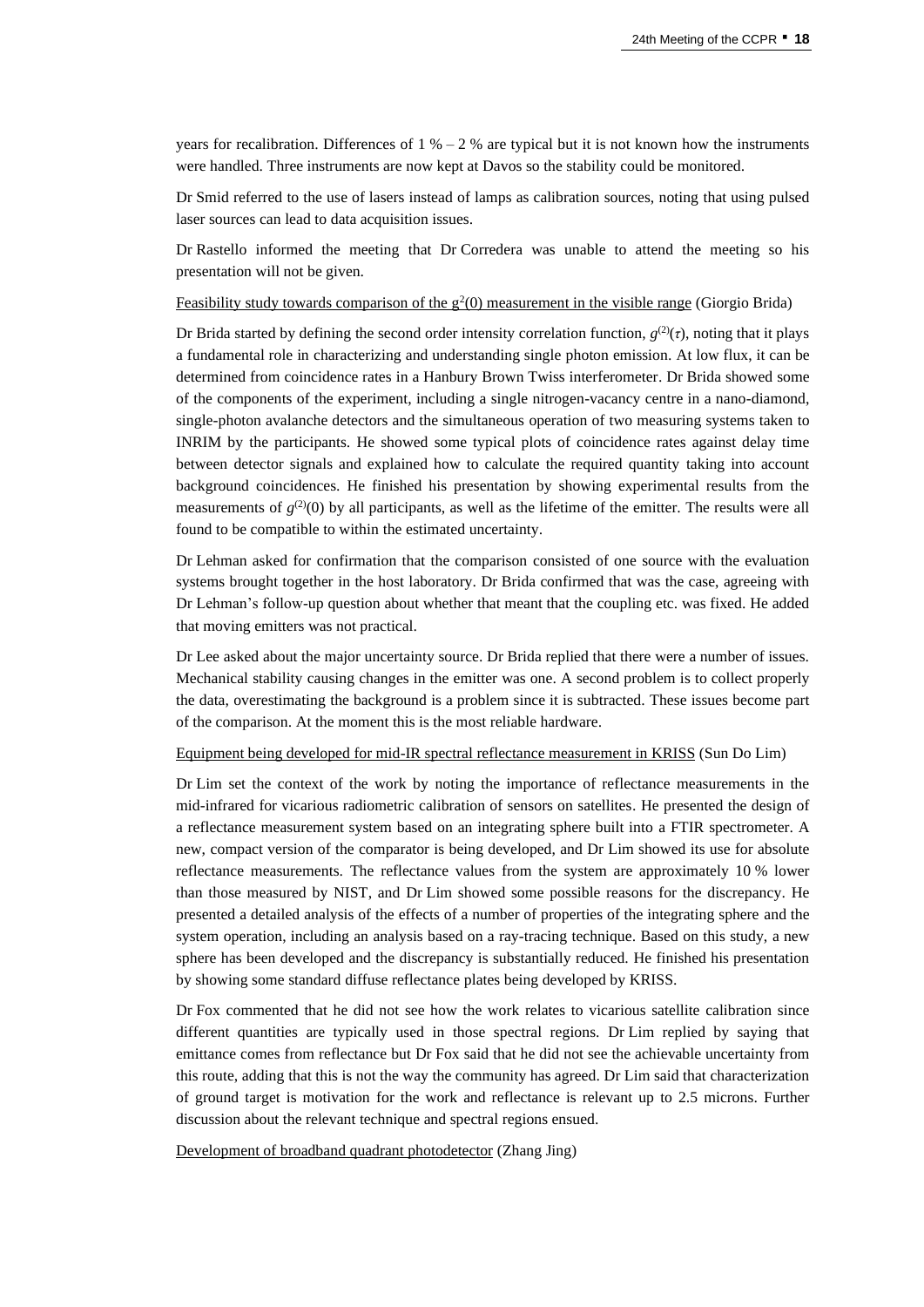years for recalibration. Differences of  $1\% - 2\%$  are typical but it is not known how the instruments were handled. Three instruments are now kept at Davos so the stability could be monitored.

Dr Smid referred to the use of lasers instead of lamps as calibration sources, noting that using pulsed laser sources can lead to data acquisition issues.

Dr Rastello informed the meeting that Dr Corredera was unable to attend the meeting so his presentation will not be given.

Feasibility study towards comparison of the  $g^2(0)$  measurement in the visible range (Giorgio Brida)

Dr Brida started by defining the second order intensity correlation function,  $g^{(2)}(\tau)$ , noting that it plays a fundamental role in characterizing and understanding single photon emission. At low flux, it can be determined from coincidence rates in a Hanbury Brown Twiss interferometer. Dr Brida showed some of the components of the experiment, including a single nitrogen-vacancy centre in a nano-diamond, single-photon avalanche detectors and the simultaneous operation of two measuring systems taken to INRIM by the participants. He showed some typical plots of coincidence rates against delay time between detector signals and explained how to calculate the required quantity taking into account background coincidences. He finished his presentation by showing experimental results from the measurements of  $g^{(2)}(0)$  by all participants, as well as the lifetime of the emitter. The results were all found to be compatible to within the estimated uncertainty.

Dr Lehman asked for confirmation that the comparison consisted of one source with the evaluation systems brought together in the host laboratory. Dr Brida confirmed that was the case, agreeing with Dr Lehman's follow-up question about whether that meant that the coupling etc. was fixed. He added that moving emitters was not practical.

Dr Lee asked about the major uncertainty source. Dr Brida replied that there were a number of issues. Mechanical stability causing changes in the emitter was one. A second problem is to collect properly the data, overestimating the background is a problem since it is subtracted. These issues become part of the comparison. At the moment this is the most reliable hardware.

Equipment being developed for mid-IR spectral reflectance measurement in KRISS (Sun Do Lim)

Dr Lim set the context of the work by noting the importance of reflectance measurements in the mid-infrared for vicarious radiometric calibration of sensors on satellites. He presented the design of a reflectance measurement system based on an integrating sphere built into a FTIR spectrometer. A new, compact version of the comparator is being developed, and Dr Lim showed its use for absolute reflectance measurements. The reflectance values from the system are approximately 10 % lower than those measured by NIST, and Dr Lim showed some possible reasons for the discrepancy. He presented a detailed analysis of the effects of a number of properties of the integrating sphere and the system operation, including an analysis based on a ray-tracing technique. Based on this study, a new sphere has been developed and the discrepancy is substantially reduced. He finished his presentation by showing some standard diffuse reflectance plates being developed by KRISS.

Dr Fox commented that he did not see how the work relates to vicarious satellite calibration since different quantities are typically used in those spectral regions. Dr Lim replied by saying that emittance comes from reflectance but Dr Fox said that he did not see the achievable uncertainty from this route, adding that this is not the way the community has agreed. Dr Lim said that characterization of ground target is motivation for the work and reflectance is relevant up to 2.5 microns. Further discussion about the relevant technique and spectral regions ensued.

Development of broadband quadrant photodetector (Zhang Jing)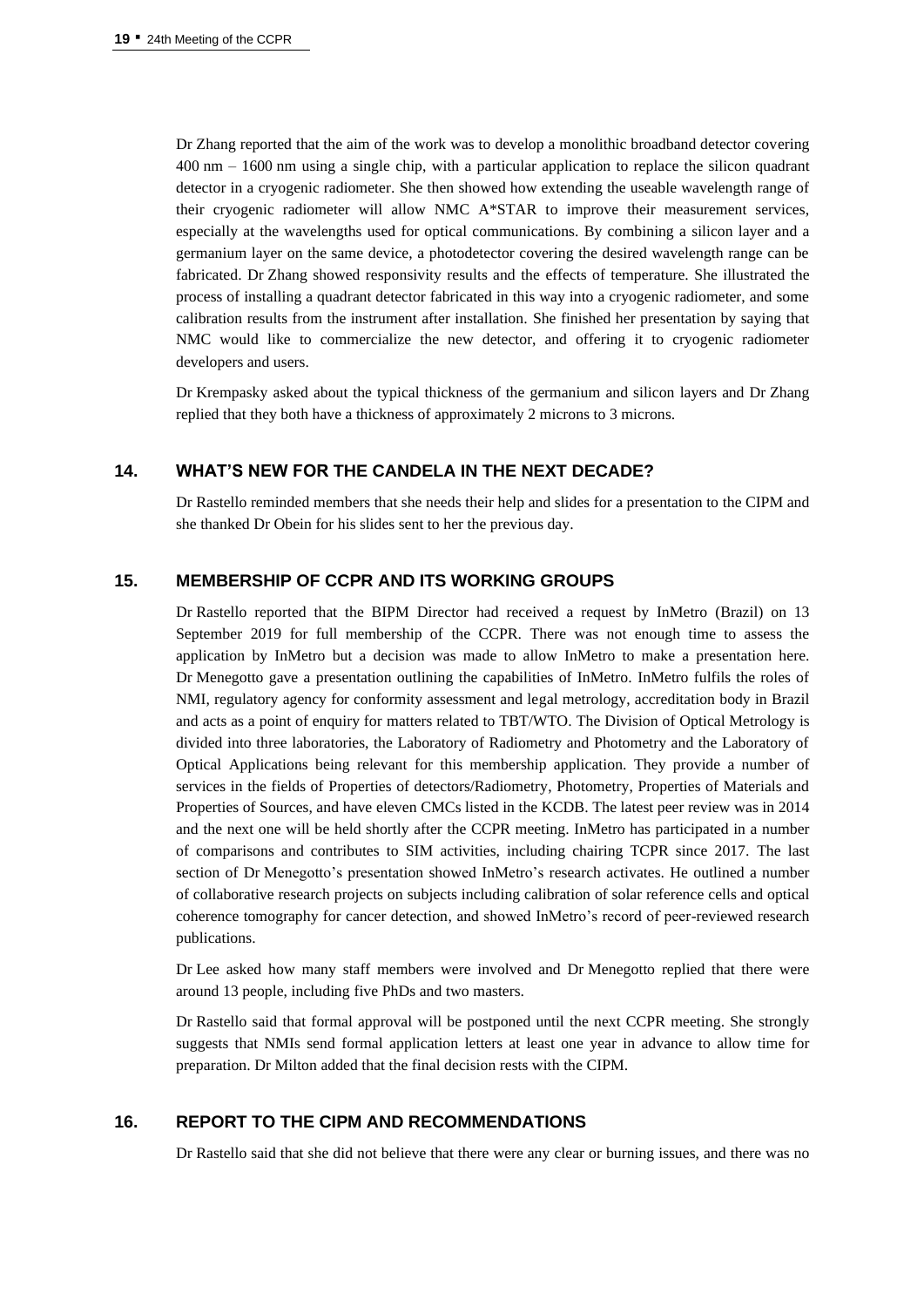Dr Zhang reported that the aim of the work was to develop a monolithic broadband detector covering 400 nm – 1600 nm using a single chip, with a particular application to replace the silicon quadrant detector in a cryogenic radiometer. She then showed how extending the useable wavelength range of their cryogenic radiometer will allow NMC A\*STAR to improve their measurement services, especially at the wavelengths used for optical communications. By combining a silicon layer and a germanium layer on the same device, a photodetector covering the desired wavelength range can be fabricated. Dr Zhang showed responsivity results and the effects of temperature. She illustrated the process of installing a quadrant detector fabricated in this way into a cryogenic radiometer, and some calibration results from the instrument after installation. She finished her presentation by saying that NMC would like to commercialize the new detector, and offering it to cryogenic radiometer developers and users.

Dr Krempasky asked about the typical thickness of the germanium and silicon layers and Dr Zhang replied that they both have a thickness of approximately 2 microns to 3 microns.

# **14. WHAT'S NEW FOR THE CANDELA IN THE NEXT DECADE?**

Dr Rastello reminded members that she needs their help and slides for a presentation to the CIPM and she thanked Dr Obein for his slides sent to her the previous day.

# **15. MEMBERSHIP OF CCPR AND ITS WORKING GROUPS**

Dr Rastello reported that the BIPM Director had received a request by InMetro (Brazil) on 13 September 2019 for full membership of the CCPR. There was not enough time to assess the application by InMetro but a decision was made to allow InMetro to make a presentation here. Dr Menegotto gave a presentation outlining the capabilities of InMetro. InMetro fulfils the roles of NMI, regulatory agency for conformity assessment and legal metrology, accreditation body in Brazil and acts as a point of enquiry for matters related to TBT/WTO. The Division of Optical Metrology is divided into three laboratories, the Laboratory of Radiometry and Photometry and the Laboratory of Optical Applications being relevant for this membership application. They provide a number of services in the fields of Properties of detectors/Radiometry, Photometry, Properties of Materials and Properties of Sources, and have eleven CMCs listed in the KCDB. The latest peer review was in 2014 and the next one will be held shortly after the CCPR meeting. InMetro has participated in a number of comparisons and contributes to SIM activities, including chairing TCPR since 2017. The last section of Dr Menegotto's presentation showed InMetro's research activates. He outlined a number of collaborative research projects on subjects including calibration of solar reference cells and optical coherence tomography for cancer detection, and showed InMetro's record of peer-reviewed research publications.

Dr Lee asked how many staff members were involved and Dr Menegotto replied that there were around 13 people, including five PhDs and two masters.

Dr Rastello said that formal approval will be postponed until the next CCPR meeting. She strongly suggests that NMIs send formal application letters at least one year in advance to allow time for preparation. Dr Milton added that the final decision rests with the CIPM.

# **16. REPORT TO THE CIPM AND RECOMMENDATIONS**

Dr Rastello said that she did not believe that there were any clear or burning issues, and there was no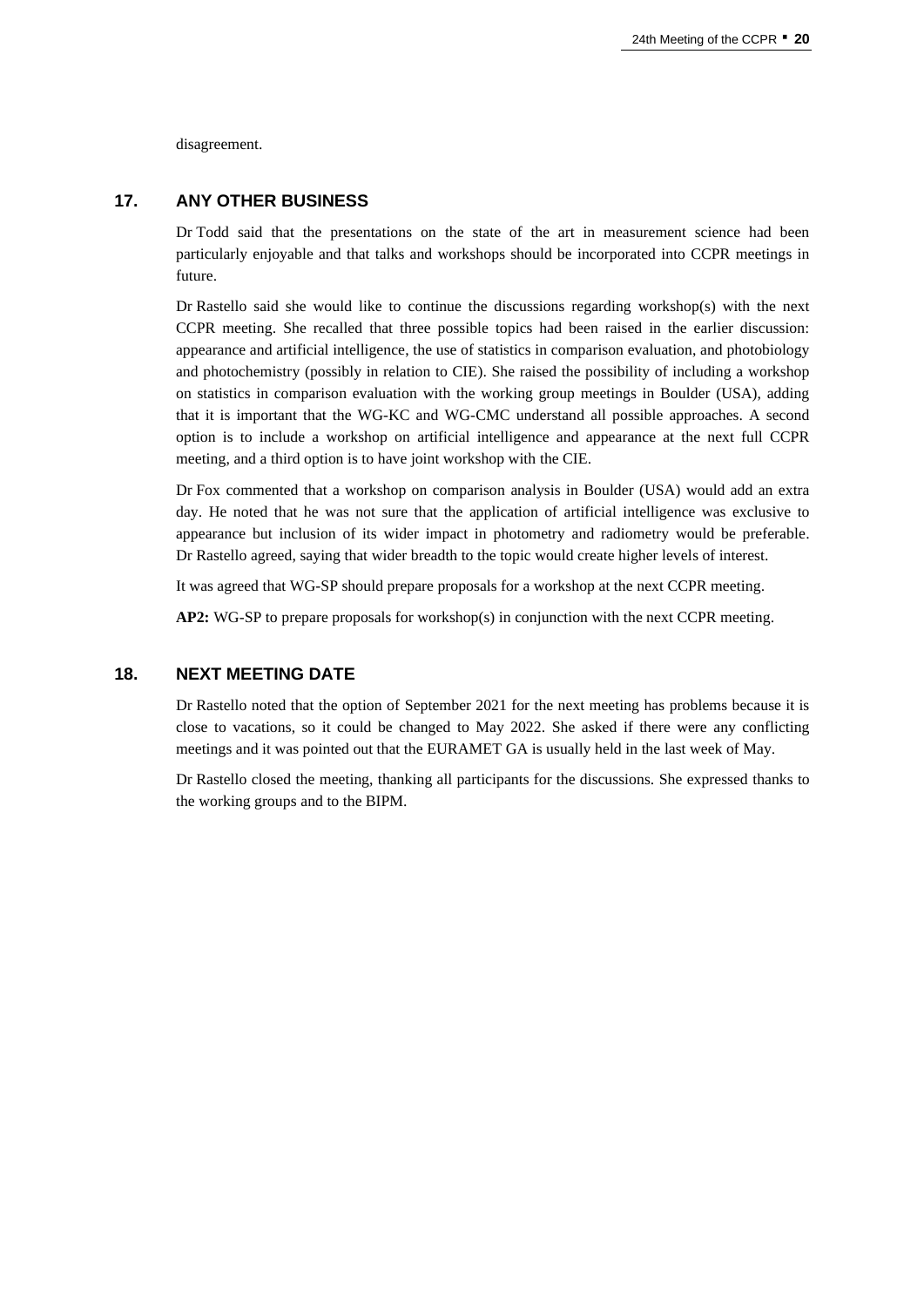disagreement.

# **17. ANY OTHER BUSINESS**

Dr Todd said that the presentations on the state of the art in measurement science had been particularly enjoyable and that talks and workshops should be incorporated into CCPR meetings in future.

Dr Rastello said she would like to continue the discussions regarding workshop(s) with the next CCPR meeting. She recalled that three possible topics had been raised in the earlier discussion: appearance and artificial intelligence, the use of statistics in comparison evaluation, and photobiology and photochemistry (possibly in relation to CIE). She raised the possibility of including a workshop on statistics in comparison evaluation with the working group meetings in Boulder (USA), adding that it is important that the WG-KC and WG-CMC understand all possible approaches. A second option is to include a workshop on artificial intelligence and appearance at the next full CCPR meeting, and a third option is to have joint workshop with the CIE.

Dr Fox commented that a workshop on comparison analysis in Boulder (USA) would add an extra day. He noted that he was not sure that the application of artificial intelligence was exclusive to appearance but inclusion of its wider impact in photometry and radiometry would be preferable. Dr Rastello agreed, saying that wider breadth to the topic would create higher levels of interest.

It was agreed that WG-SP should prepare proposals for a workshop at the next CCPR meeting.

**AP2:** WG-SP to prepare proposals for workshop(s) in conjunction with the next CCPR meeting.

# **18. NEXT MEETING DATE**

Dr Rastello noted that the option of September 2021 for the next meeting has problems because it is close to vacations, so it could be changed to May 2022. She asked if there were any conflicting meetings and it was pointed out that the EURAMET GA is usually held in the last week of May.

Dr Rastello closed the meeting, thanking all participants for the discussions. She expressed thanks to the working groups and to the BIPM.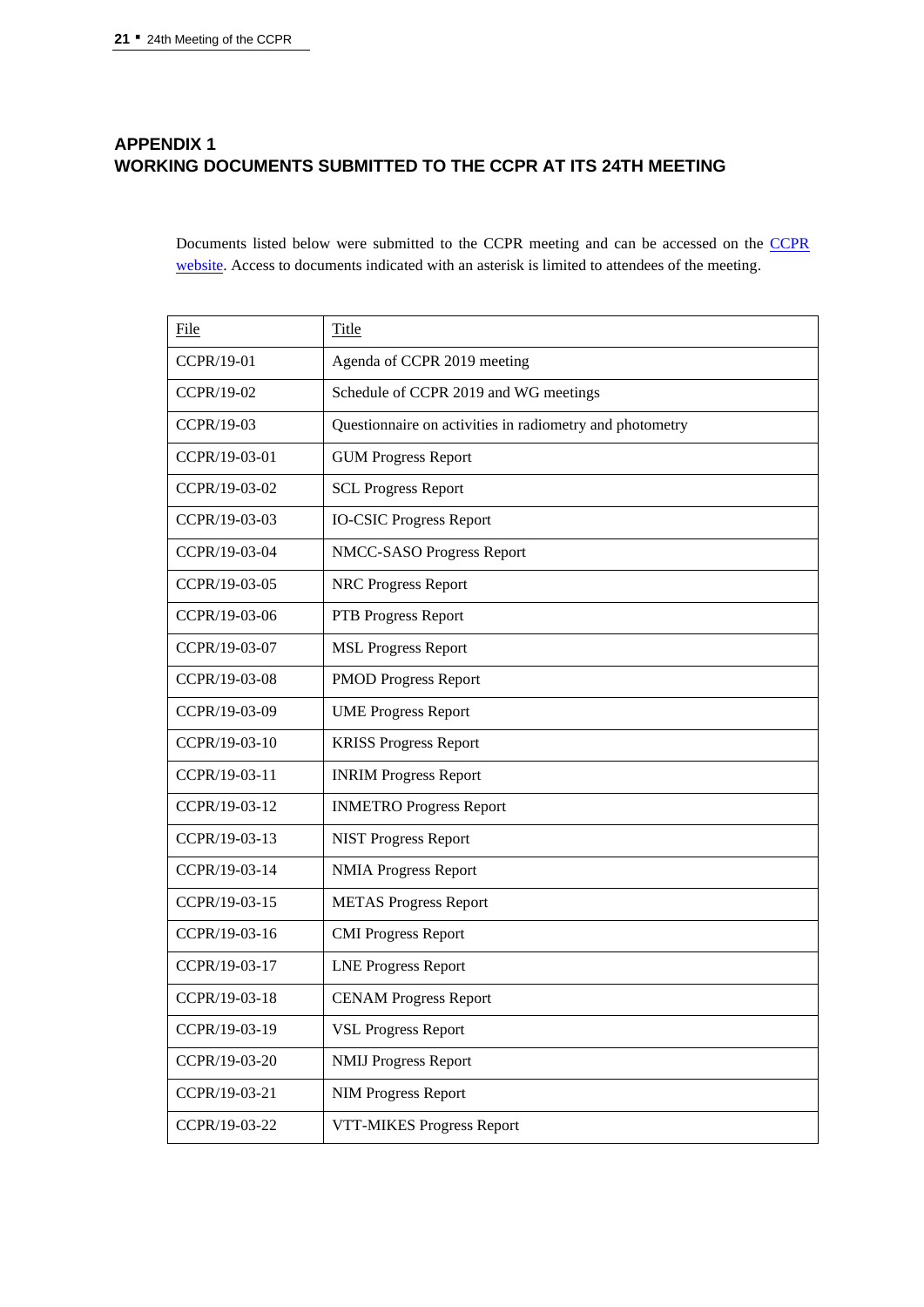# **APPENDIX 1 WORKING DOCUMENTS SUBMITTED TO THE CCPR AT ITS 24TH MEETING**

Documents listed below were submitted to the CCPR meeting and can be accessed on the [CCPR](https://www.bipm.org/en/committees/cc/ccpr/) [website.](https://www.bipm.org/en/committees/cc/ccpr/) Access to documents indicated with an asterisk is limited to attendees of the meeting.

| File          | Title                                                    |
|---------------|----------------------------------------------------------|
| CCPR/19-01    | Agenda of CCPR 2019 meeting                              |
| CCPR/19-02    | Schedule of CCPR 2019 and WG meetings                    |
| CCPR/19-03    | Questionnaire on activities in radiometry and photometry |
| CCPR/19-03-01 | <b>GUM Progress Report</b>                               |
| CCPR/19-03-02 | <b>SCL Progress Report</b>                               |
| CCPR/19-03-03 | <b>IO-CSIC Progress Report</b>                           |
| CCPR/19-03-04 | NMCC-SASO Progress Report                                |
| CCPR/19-03-05 | <b>NRC Progress Report</b>                               |
| CCPR/19-03-06 | PTB Progress Report                                      |
| CCPR/19-03-07 | <b>MSL Progress Report</b>                               |
| CCPR/19-03-08 | <b>PMOD Progress Report</b>                              |
| CCPR/19-03-09 | <b>UME Progress Report</b>                               |
| CCPR/19-03-10 | <b>KRISS Progress Report</b>                             |
| CCPR/19-03-11 | <b>INRIM Progress Report</b>                             |
| CCPR/19-03-12 | <b>INMETRO Progress Report</b>                           |
| CCPR/19-03-13 | <b>NIST Progress Report</b>                              |
| CCPR/19-03-14 | <b>NMIA Progress Report</b>                              |
| CCPR/19-03-15 | <b>METAS Progress Report</b>                             |
| CCPR/19-03-16 | <b>CMI Progress Report</b>                               |
| CCPR/19-03-17 | <b>LNE Progress Report</b>                               |
| CCPR/19-03-18 | <b>CENAM Progress Report</b>                             |
| CCPR/19-03-19 | <b>VSL Progress Report</b>                               |
| CCPR/19-03-20 | <b>NMIJ Progress Report</b>                              |
| CCPR/19-03-21 | <b>NIM Progress Report</b>                               |
| CCPR/19-03-22 | VTT-MIKES Progress Report                                |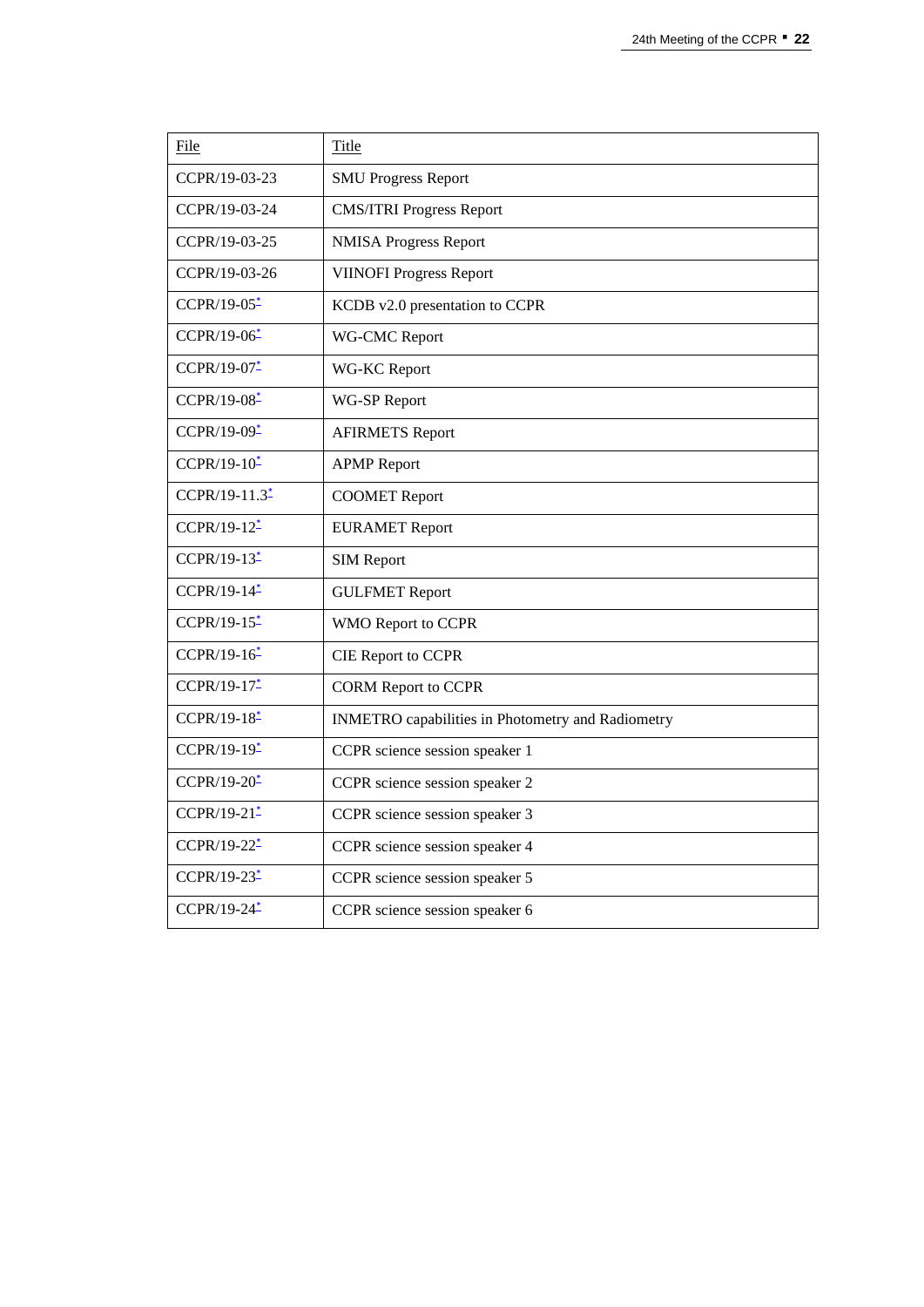| File                    | Title                                             |
|-------------------------|---------------------------------------------------|
| CCPR/19-03-23           | <b>SMU Progress Report</b>                        |
| CCPR/19-03-24           | <b>CMS/ITRI Progress Report</b>                   |
| CCPR/19-03-25           | <b>NMISA Progress Report</b>                      |
| CCPR/19-03-26           | <b>VIINOFI Progress Report</b>                    |
| CCPR/19-05*             | KCDB v2.0 presentation to CCPR                    |
| CCPR/19-06*             | WG-CMC Report                                     |
| CCPR/19-07-             | WG-KC Report                                      |
| CCPR/19-08*             | WG-SP Report                                      |
| CCPR/19-09*             | <b>AFIRMETS Report</b>                            |
| $CCPR/19-10*$           | <b>APMP</b> Report                                |
| CCPR/19-11.3*           | <b>COOMET Report</b>                              |
| CCPR/19-12*             | <b>EURAMET Report</b>                             |
| CCPR/19-13 <sup>*</sup> | <b>SIM Report</b>                                 |
| CCPR/19-14 <sup>*</sup> | <b>GULFMET Report</b>                             |
| CCPR/19-15*             | WMO Report to CCPR                                |
| CCPR/19-16 <sup>*</sup> | <b>CIE Report to CCPR</b>                         |
| CCPR/19-17*             | <b>CORM Report to CCPR</b>                        |
| CCPR/19-18*             | INMETRO capabilities in Photometry and Radiometry |
| CCPR/19-19*             | CCPR science session speaker 1                    |
| $CCPR/19-20*$           | CCPR science session speaker 2                    |
| CCPR/19-21 <sup>*</sup> | CCPR science session speaker 3                    |
| CCPR/19-22*             | CCPR science session speaker 4                    |
| $CCPR/19-23*$           | CCPR science session speaker 5                    |
| CCPR/19-24*             | CCPR science session speaker 6                    |